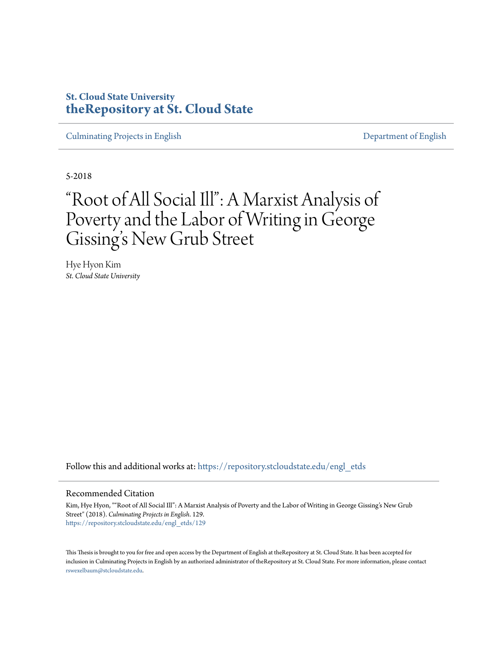## **St. Cloud State University [theRepository at St. Cloud State](https://repository.stcloudstate.edu?utm_source=repository.stcloudstate.edu%2Fengl_etds%2F129&utm_medium=PDF&utm_campaign=PDFCoverPages)**

[Culminating Projects in English](https://repository.stcloudstate.edu/engl_etds?utm_source=repository.stcloudstate.edu%2Fengl_etds%2F129&utm_medium=PDF&utm_campaign=PDFCoverPages) [Department of English](https://repository.stcloudstate.edu/engl?utm_source=repository.stcloudstate.edu%2Fengl_etds%2F129&utm_medium=PDF&utm_campaign=PDFCoverPages)

5-2018

# "Root of All Social Ill": A Marxist Analysis of Poverty and the Labor of Writing in George Gissing 's New Grub Street

Hye Hyon Kim *St. Cloud State University*

Follow this and additional works at: [https://repository.stcloudstate.edu/engl\\_etds](https://repository.stcloudstate.edu/engl_etds?utm_source=repository.stcloudstate.edu%2Fengl_etds%2F129&utm_medium=PDF&utm_campaign=PDFCoverPages)

#### Recommended Citation

Kim, Hye Hyon, ""Root of All Social Ill": A Marxist Analysis of Poverty and the Labor of Writing in George Gissing's New Grub Street" (2018). *Culminating Projects in English*. 129. [https://repository.stcloudstate.edu/engl\\_etds/129](https://repository.stcloudstate.edu/engl_etds/129?utm_source=repository.stcloudstate.edu%2Fengl_etds%2F129&utm_medium=PDF&utm_campaign=PDFCoverPages)

This Thesis is brought to you for free and open access by the Department of English at theRepository at St. Cloud State. It has been accepted for inclusion in Culminating Projects in English by an authorized administrator of theRepository at St. Cloud State. For more information, please contact [rswexelbaum@stcloudstate.edu](mailto:rswexelbaum@stcloudstate.edu).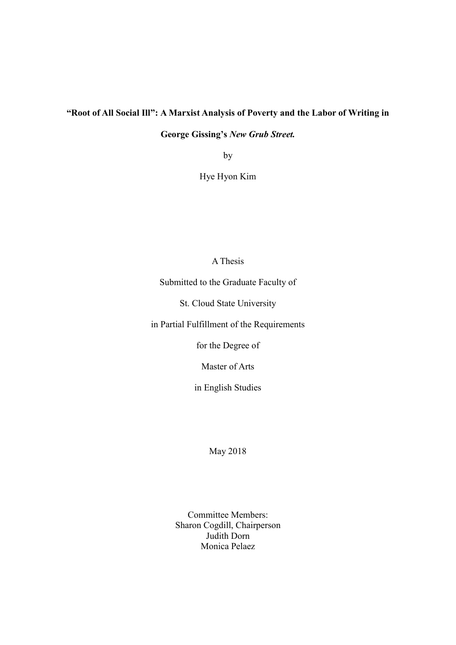## **"Root of All Social Ill": A Marxist Analysis of Poverty and the Labor of Writing in**

**George Gissing's** *New Grub Street.*

by

Hye Hyon Kim

### A Thesis

Submitted to the Graduate Faculty of

St. Cloud State University

in Partial Fulfillment of the Requirements

for the Degree of

Master of Arts

in English Studies

May 2018

Committee Members: Sharon Cogdill, Chairperson Judith Dorn Monica Pelaez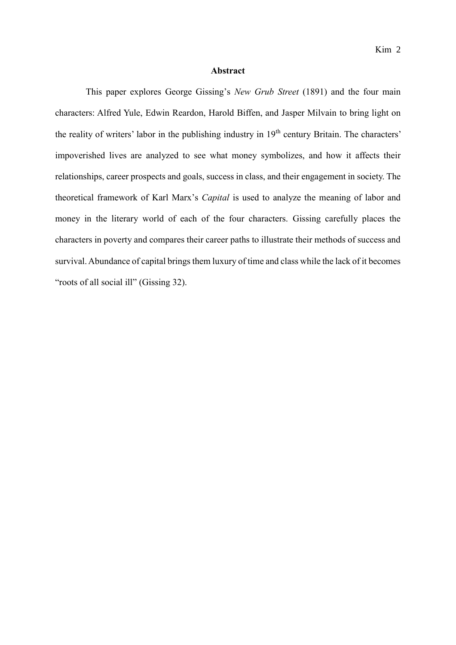#### **Abstract**

This paper explores George Gissing's *New Grub Street* (1891) and the four main characters: Alfred Yule, Edwin Reardon, Harold Biffen, and Jasper Milvain to bring light on the reality of writers' labor in the publishing industry in 19<sup>th</sup> century Britain. The characters' impoverished lives are analyzed to see what money symbolizes, and how it affects their relationships, career prospects and goals, success in class, and their engagement in society. The theoretical framework of Karl Marx's *Capital* is used to analyze the meaning of labor and money in the literary world of each of the four characters. Gissing carefully places the characters in poverty and compares their career paths to illustrate their methods of success and survival. Abundance of capital brings them luxury of time and class while the lack of it becomes "roots of all social ill" (Gissing 32).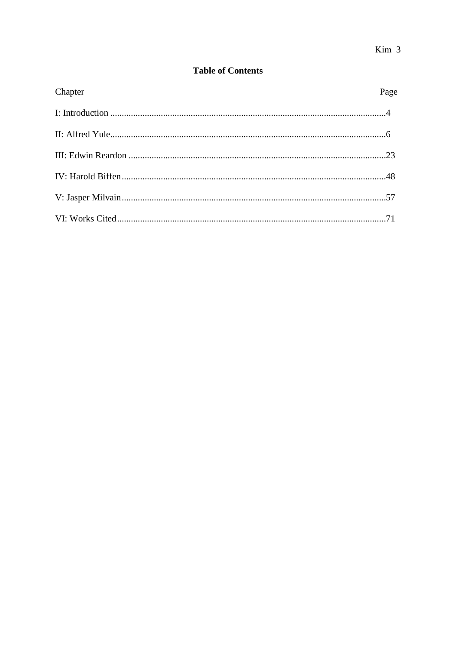## **Table of Contents**

| Chapter | Page |
|---------|------|
|         |      |
|         |      |
|         |      |
|         |      |
|         |      |
|         |      |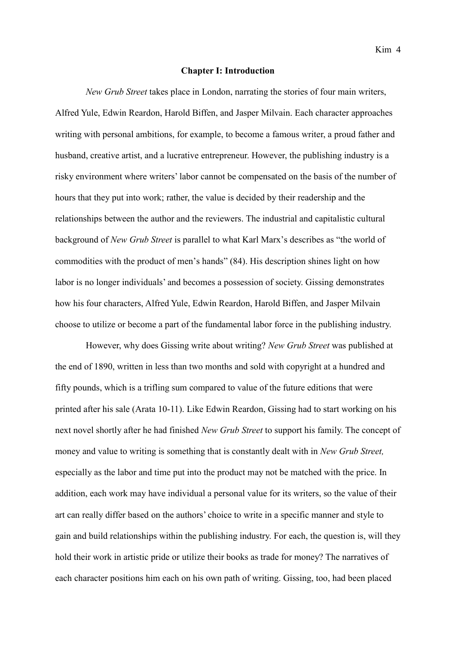#### **Chapter I: Introduction**

*New Grub Street* takes place in London, narrating the stories of four main writers, Alfred Yule, Edwin Reardon, Harold Biffen, and Jasper Milvain. Each character approaches writing with personal ambitions, for example, to become a famous writer, a proud father and husband, creative artist, and a lucrative entrepreneur. However, the publishing industry is a risky environment where writers' labor cannot be compensated on the basis of the number of hours that they put into work; rather, the value is decided by their readership and the relationships between the author and the reviewers. The industrial and capitalistic cultural background of *New Grub Street* is parallel to what Karl Marx's describes as "the world of commodities with the product of men's hands" (84). His description shines light on how labor is no longer individuals' and becomes a possession of society. Gissing demonstrates how his four characters, Alfred Yule, Edwin Reardon, Harold Biffen, and Jasper Milvain choose to utilize or become a part of the fundamental labor force in the publishing industry.

However, why does Gissing write about writing? *New Grub Street* was published at the end of 1890, written in less than two months and sold with copyright at a hundred and fifty pounds, which is a trifling sum compared to value of the future editions that were printed after his sale (Arata 10-11). Like Edwin Reardon, Gissing had to start working on his next novel shortly after he had finished *New Grub Street* to support his family. The concept of money and value to writing is something that is constantly dealt with in *New Grub Street,* especially as the labor and time put into the product may not be matched with the price. In addition, each work may have individual a personal value for its writers, so the value of their art can really differ based on the authors' choice to write in a specific manner and style to gain and build relationships within the publishing industry. For each, the question is, will they hold their work in artistic pride or utilize their books as trade for money? The narratives of each character positions him each on his own path of writing. Gissing, too, had been placed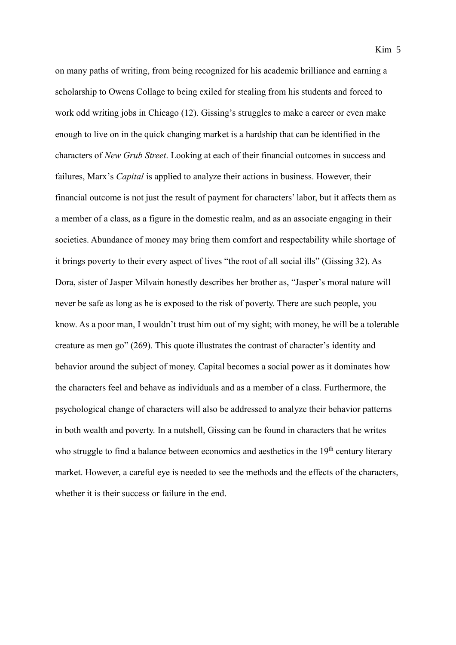on many paths of writing, from being recognized for his academic brilliance and earning a scholarship to Owens Collage to being exiled for stealing from his students and forced to work odd writing jobs in Chicago (12). Gissing's struggles to make a career or even make enough to live on in the quick changing market is a hardship that can be identified in the characters of *New Grub Street*. Looking at each of their financial outcomes in success and failures, Marx's *Capital* is applied to analyze their actions in business. However, their financial outcome is not just the result of payment for characters' labor, but it affects them as a member of a class, as a figure in the domestic realm, and as an associate engaging in their societies. Abundance of money may bring them comfort and respectability while shortage of it brings poverty to their every aspect of lives "the root of all social ills" (Gissing 32). As Dora, sister of Jasper Milvain honestly describes her brother as, "Jasper's moral nature will never be safe as long as he is exposed to the risk of poverty. There are such people, you know. As a poor man, I wouldn't trust him out of my sight; with money, he will be a tolerable creature as men go" (269). This quote illustrates the contrast of character's identity and behavior around the subject of money. Capital becomes a social power as it dominates how the characters feel and behave as individuals and as a member of a class. Furthermore, the psychological change of characters will also be addressed to analyze their behavior patterns in both wealth and poverty. In a nutshell, Gissing can be found in characters that he writes who struggle to find a balance between economics and aesthetics in the  $19<sup>th</sup>$  century literary market. However, a careful eye is needed to see the methods and the effects of the characters, whether it is their success or failure in the end.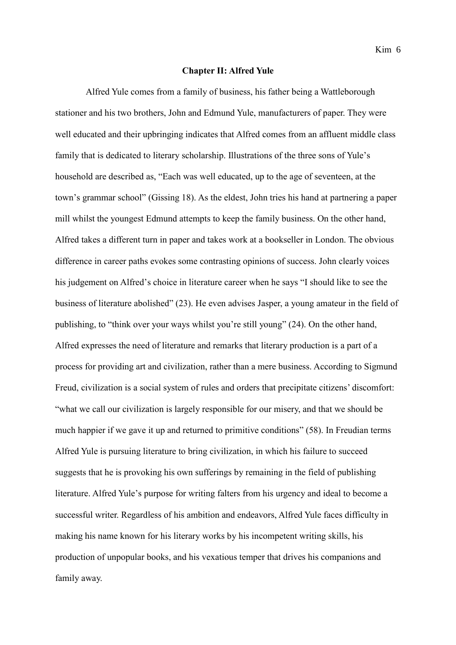#### **Chapter II: Alfred Yule**

Alfred Yule comes from a family of business, his father being a Wattleborough stationer and his two brothers, John and Edmund Yule, manufacturers of paper. They were well educated and their upbringing indicates that Alfred comes from an affluent middle class family that is dedicated to literary scholarship. Illustrations of the three sons of Yule's household are described as, "Each was well educated, up to the age of seventeen, at the town's grammar school" (Gissing 18). As the eldest, John tries his hand at partnering a paper mill whilst the youngest Edmund attempts to keep the family business. On the other hand, Alfred takes a different turn in paper and takes work at a bookseller in London. The obvious difference in career paths evokes some contrasting opinions of success. John clearly voices his judgement on Alfred's choice in literature career when he says "I should like to see the business of literature abolished" (23). He even advises Jasper, a young amateur in the field of publishing, to "think over your ways whilst you're still young" (24). On the other hand, Alfred expresses the need of literature and remarks that literary production is a part of a process for providing art and civilization, rather than a mere business. According to Sigmund Freud, civilization is a social system of rules and orders that precipitate citizens' discomfort: "what we call our civilization is largely responsible for our misery, and that we should be much happier if we gave it up and returned to primitive conditions" (58). In Freudian terms Alfred Yule is pursuing literature to bring civilization, in which his failure to succeed suggests that he is provoking his own sufferings by remaining in the field of publishing literature. Alfred Yule's purpose for writing falters from his urgency and ideal to become a successful writer. Regardless of his ambition and endeavors, Alfred Yule faces difficulty in making his name known for his literary works by his incompetent writing skills, his production of unpopular books, and his vexatious temper that drives his companions and family away.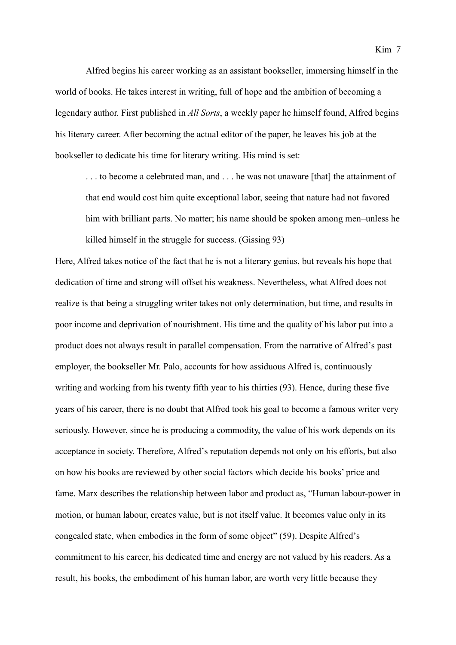Alfred begins his career working as an assistant bookseller, immersing himself in the world of books. He takes interest in writing, full of hope and the ambition of becoming a legendary author. First published in *All Sorts*, a weekly paper he himself found, Alfred begins his literary career. After becoming the actual editor of the paper, he leaves his job at the bookseller to dedicate his time for literary writing. His mind is set:

... to become a celebrated man, and ... he was not unaware [that] the attainment of that end would cost him quite exceptional labor, seeing that nature had not favored him with brilliant parts. No matter; his name should be spoken among men–unless he killed himself in the struggle for success. (Gissing 93)

Here, Alfred takes notice of the fact that he is not a literary genius, but reveals his hope that dedication of time and strong will offset his weakness. Nevertheless, what Alfred does not realize is that being a struggling writer takes not only determination, but time, and results in poor income and deprivation of nourishment. His time and the quality of his labor put into a product does not always result in parallel compensation. From the narrative of Alfred's past employer, the bookseller Mr. Palo, accounts for how assiduous Alfred is, continuously writing and working from his twenty fifth year to his thirties (93). Hence, during these five years of his career, there is no doubt that Alfred took his goal to become a famous writer very seriously. However, since he is producing a commodity, the value of his work depends on its acceptance in society. Therefore, Alfred's reputation depends not only on his efforts, but also on how his books are reviewed by other social factors which decide his books' price and fame. Marx describes the relationship between labor and product as, "Human labour-power in motion, or human labour, creates value, but is not itself value. It becomes value only in its congealed state, when embodies in the form of some object" (59). Despite Alfred's commitment to his career, his dedicated time and energy are not valued by his readers. As a result, his books, the embodiment of his human labor, are worth very little because they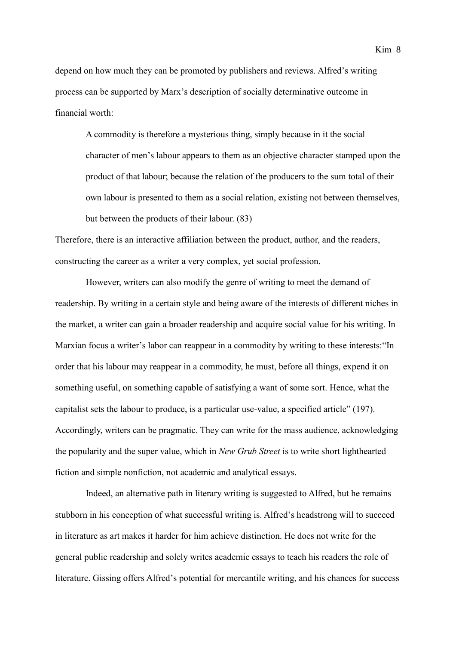depend on how much they can be promoted by publishers and reviews. Alfred's writing process can be supported by Marx's description of socially determinative outcome in financial worth:

A commodity is therefore a mysterious thing, simply because in it the social character of men's labour appears to them as an objective character stamped upon the product of that labour; because the relation of the producers to the sum total of their own labour is presented to them as a social relation, existing not between themselves, but between the products of their labour. (83)

Therefore, there is an interactive affiliation between the product, author, and the readers, constructing the career as a writer a very complex, yet social profession.

However, writers can also modify the genre of writing to meet the demand of readership. By writing in a certain style and being aware of the interests of different niches in the market, a writer can gain a broader readership and acquire social value for his writing. In Marxian focus a writer's labor can reappear in a commodity by writing to these interests:"In order that his labour may reappear in a commodity, he must, before all things, expend it on something useful, on something capable of satisfying a want of some sort. Hence, what the capitalist sets the labour to produce, is a particular use-value, a specified article" (197). Accordingly, writers can be pragmatic. They can write for the mass audience, acknowledging the popularity and the super value, which in *New Grub Street* is to write short lighthearted fiction and simple nonfiction, not academic and analytical essays.

Indeed, an alternative path in literary writing is suggested to Alfred, but he remains stubborn in his conception of what successful writing is. Alfred's headstrong will to succeed in literature as art makes it harder for him achieve distinction. He does not write for the general public readership and solely writes academic essays to teach his readers the role of literature. Gissing offers Alfred's potential for mercantile writing, and his chances for success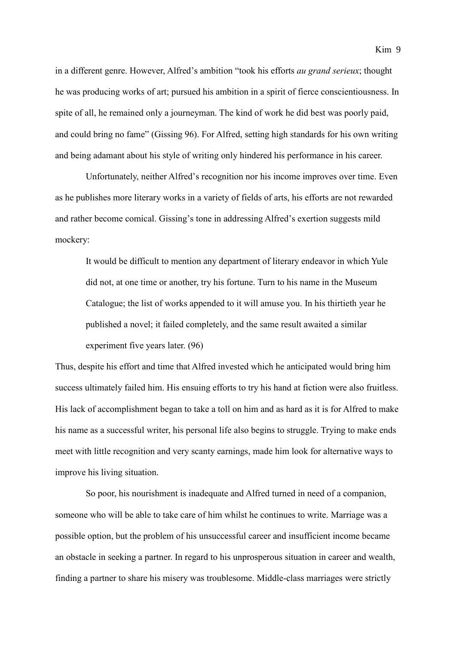in a different genre. However, Alfred's ambition "took his efforts *au grand serieux*; thought he was producing works of art; pursued his ambition in a spirit of fierce conscientiousness. In spite of all, he remained only a journeyman. The kind of work he did best was poorly paid, and could bring no fame" (Gissing 96). For Alfred, setting high standards for his own writing and being adamant about his style of writing only hindered his performance in his career.

Unfortunately, neither Alfred's recognition nor his income improves over time. Even as he publishes more literary works in a variety of fields of arts, his efforts are not rewarded and rather become comical. Gissing's tone in addressing Alfred's exertion suggests mild mockery:

It would be difficult to mention any department of literary endeavor in which Yule did not, at one time or another, try his fortune. Turn to his name in the Museum Catalogue; the list of works appended to it will amuse you. In his thirtieth year he published a novel; it failed completely, and the same result awaited a similar experiment five years later. (96)

Thus, despite his effort and time that Alfred invested which he anticipated would bring him success ultimately failed him. His ensuing efforts to try his hand at fiction were also fruitless. His lack of accomplishment began to take a toll on him and as hard as it is for Alfred to make his name as a successful writer, his personal life also begins to struggle. Trying to make ends meet with little recognition and very scanty earnings, made him look for alternative ways to improve his living situation.

So poor, his nourishment is inadequate and Alfred turned in need of a companion, someone who will be able to take care of him whilst he continues to write. Marriage was a possible option, but the problem of his unsuccessful career and insufficient income became an obstacle in seeking a partner. In regard to his unprosperous situation in career and wealth, finding a partner to share his misery was troublesome. Middle-class marriages were strictly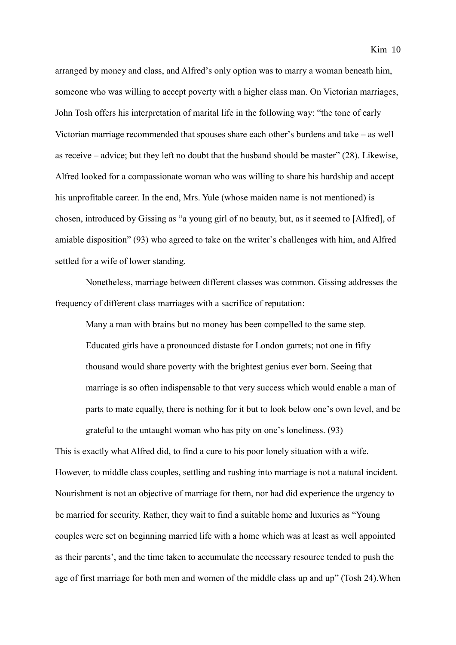arranged by money and class, and Alfred's only option was to marry a woman beneath him, someone who was willing to accept poverty with a higher class man. On Victorian marriages, John Tosh offers his interpretation of marital life in the following way: "the tone of early Victorian marriage recommended that spouses share each other's burdens and take – as well as receive – advice; but they left no doubt that the husband should be master" (28). Likewise, Alfred looked for a compassionate woman who was willing to share his hardship and accept his unprofitable career. In the end, Mrs. Yule (whose maiden name is not mentioned) is chosen, introduced by Gissing as "a young girl of no beauty, but, as it seemed to [Alfred], of amiable disposition" (93) who agreed to take on the writer's challenges with him, and Alfred settled for a wife of lower standing.

Nonetheless, marriage between different classes was common. Gissing addresses the frequency of different class marriages with a sacrifice of reputation:

Many a man with brains but no money has been compelled to the same step. Educated girls have a pronounced distaste for London garrets; not one in fifty thousand would share poverty with the brightest genius ever born. Seeing that marriage is so often indispensable to that very success which would enable a man of parts to mate equally, there is nothing for it but to look below one's own level, and be grateful to the untaught woman who has pity on one's loneliness. (93)

This is exactly what Alfred did, to find a cure to his poor lonely situation with a wife. However, to middle class couples, settling and rushing into marriage is not a natural incident. Nourishment is not an objective of marriage for them, nor had did experience the urgency to be married for security. Rather, they wait to find a suitable home and luxuries as "Young couples were set on beginning married life with a home which was at least as well appointed as their parents', and the time taken to accumulate the necessary resource tended to push the age of first marriage for both men and women of the middle class up and up" (Tosh 24).When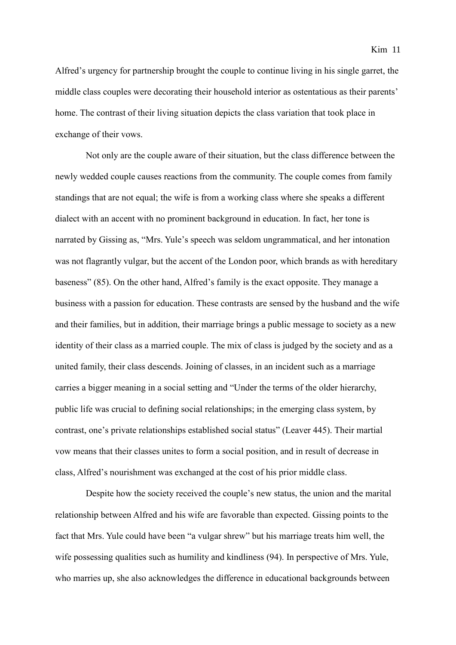Alfred's urgency for partnership brought the couple to continue living in his single garret, the middle class couples were decorating their household interior as ostentatious as their parents' home. The contrast of their living situation depicts the class variation that took place in exchange of their vows.

Not only are the couple aware of their situation, but the class difference between the newly wedded couple causes reactions from the community. The couple comes from family standings that are not equal; the wife is from a working class where she speaks a different dialect with an accent with no prominent background in education. In fact, her tone is narrated by Gissing as, "Mrs. Yule's speech was seldom ungrammatical, and her intonation was not flagrantly vulgar, but the accent of the London poor, which brands as with hereditary baseness" (85). On the other hand, Alfred's family is the exact opposite. They manage a business with a passion for education. These contrasts are sensed by the husband and the wife and their families, but in addition, their marriage brings a public message to society as a new identity of their class as a married couple. The mix of class is judged by the society and as a united family, their class descends. Joining of classes, in an incident such as a marriage carries a bigger meaning in a social setting and "Under the terms of the older hierarchy, public life was crucial to defining social relationships; in the emerging class system, by contrast, one's private relationships established social status" (Leaver 445). Their martial vow means that their classes unites to form a social position, and in result of decrease in class, Alfred's nourishment was exchanged at the cost of his prior middle class.

Despite how the society received the couple's new status, the union and the marital relationship between Alfred and his wife are favorable than expected. Gissing points to the fact that Mrs. Yule could have been "a vulgar shrew" but his marriage treats him well, the wife possessing qualities such as humility and kindliness (94). In perspective of Mrs. Yule, who marries up, she also acknowledges the difference in educational backgrounds between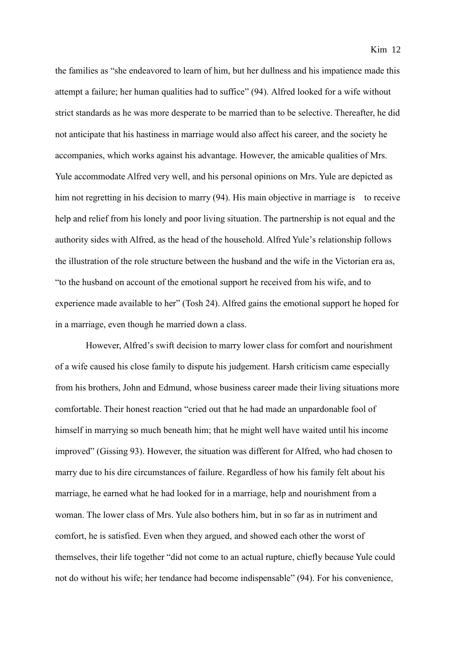the families as "she endeavored to learn of him, but her dullness and his impatience made this attempt a failure; her human qualities had to suffice" (94). Alfred looked for a wife without strict standards as he was more desperate to be married than to be selective. Thereafter, he did not anticipate that his hastiness in marriage would also affect his career, and the society he accompanies, which works against his advantage. However, the amicable qualities of Mrs. Yule accommodate Alfred very well, and his personal opinions on Mrs. Yule are depicted as him not regretting in his decision to marry (94). His main objective in marriage is to receive help and relief from his lonely and poor living situation. The partnership is not equal and the authority sides with Alfred, as the head of the household. Alfred Yule's relationship follows the illustration of the role structure between the husband and the wife in the Victorian era as, "to the husband on account of the emotional support he received from his wife, and to experience made available to her" (Tosh 24). Alfred gains the emotional support he hoped for in a marriage, even though he married down a class.

However, Alfred's swift decision to marry lower class for comfort and nourishment of a wife caused his close family to dispute his judgement. Harsh criticism came especially from his brothers, John and Edmund, whose business career made their living situations more comfortable. Their honest reaction "cried out that he had made an unpardonable fool of himself in marrying so much beneath him; that he might well have waited until his income improved" (Gissing 93). However, the situation was different for Alfred, who had chosen to marry due to his dire circumstances of failure. Regardless of how his family felt about his marriage, he earned what he had looked for in a marriage, help and nourishment from a woman. The lower class of Mrs. Yule also bothers him, but in so far as in nutriment and comfort, he is satisfied. Even when they argued, and showed each other the worst of themselves, their life together "did not come to an actual rupture, chiefly because Yule could not do without his wife; her tendance had become indispensable" (94). For his convenience,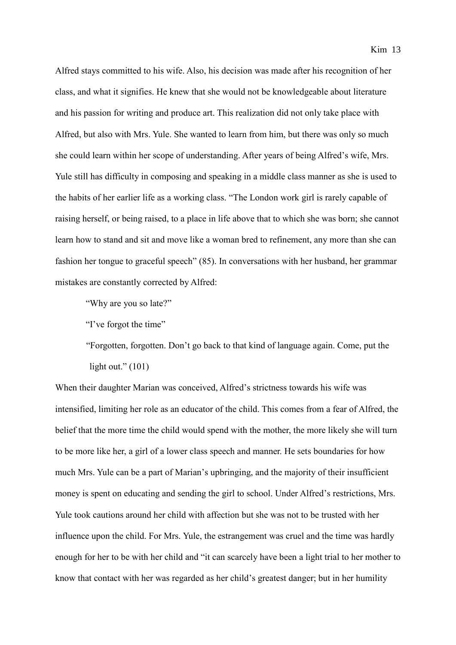Alfred stays committed to his wife. Also, his decision was made after his recognition of her class, and what it signifies. He knew that she would not be knowledgeable about literature and his passion for writing and produce art. This realization did not only take place with Alfred, but also with Mrs. Yule. She wanted to learn from him, but there was only so much she could learn within her scope of understanding. After years of being Alfred's wife, Mrs. Yule still has difficulty in composing and speaking in a middle class manner as she is used to the habits of her earlier life as a working class. "The London work girl is rarely capable of raising herself, or being raised, to a place in life above that to which she was born; she cannot learn how to stand and sit and move like a woman bred to refinement, any more than she can fashion her tongue to graceful speech" (85). In conversations with her husband, her grammar mistakes are constantly corrected by Alfred:

"Why are you so late?"

"I've forgot the time"

"Forgotten, forgotten. Don't go back to that kind of language again. Come, put the light out." $(101)$ 

When their daughter Marian was conceived, Alfred's strictness towards his wife was intensified, limiting her role as an educator of the child. This comes from a fear of Alfred, the belief that the more time the child would spend with the mother, the more likely she will turn to be more like her, a girl of a lower class speech and manner. He sets boundaries for how much Mrs. Yule can be a part of Marian's upbringing, and the majority of their insufficient money is spent on educating and sending the girl to school. Under Alfred's restrictions, Mrs. Yule took cautions around her child with affection but she was not to be trusted with her influence upon the child. For Mrs. Yule, the estrangement was cruel and the time was hardly enough for her to be with her child and "it can scarcely have been a light trial to her mother to know that contact with her was regarded as her child's greatest danger; but in her humility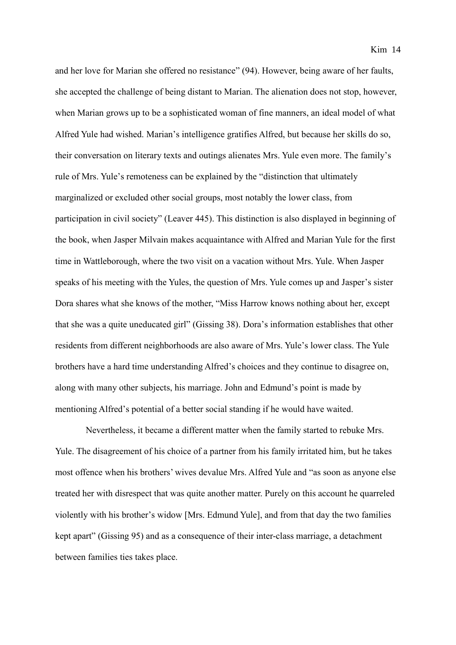and her love for Marian she offered no resistance" (94). However, being aware of her faults, she accepted the challenge of being distant to Marian. The alienation does not stop, however, when Marian grows up to be a sophisticated woman of fine manners, an ideal model of what Alfred Yule had wished. Marian's intelligence gratifies Alfred, but because her skills do so, their conversation on literary texts and outings alienates Mrs. Yule even more. The family's rule of Mrs. Yule's remoteness can be explained by the "distinction that ultimately marginalized or excluded other social groups, most notably the lower class, from participation in civil society" (Leaver 445). This distinction is also displayed in beginning of the book, when Jasper Milvain makes acquaintance with Alfred and Marian Yule for the first time in Wattleborough, where the two visit on a vacation without Mrs. Yule. When Jasper speaks of his meeting with the Yules, the question of Mrs. Yule comes up and Jasper's sister Dora shares what she knows of the mother, "Miss Harrow knows nothing about her, except that she was a quite uneducated girl" (Gissing 38). Dora's information establishes that other residents from different neighborhoods are also aware of Mrs. Yule's lower class. The Yule brothers have a hard time understanding Alfred's choices and they continue to disagree on, along with many other subjects, his marriage. John and Edmund's point is made by mentioning Alfred's potential of a better social standing if he would have waited.

Nevertheless, it became a different matter when the family started to rebuke Mrs. Yule. The disagreement of his choice of a partner from his family irritated him, but he takes most offence when his brothers' wives devalue Mrs. Alfred Yule and "as soon as anyone else treated her with disrespect that was quite another matter. Purely on this account he quarreled violently with his brother's widow [Mrs. Edmund Yule], and from that day the two families kept apart" (Gissing 95) and as a consequence of their inter-class marriage, a detachment between families ties takes place.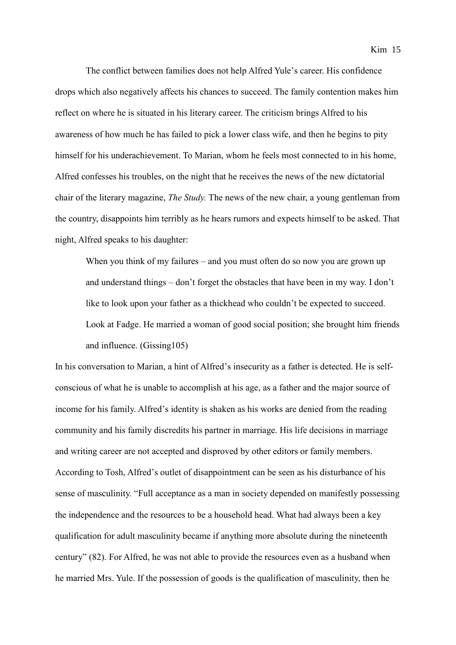The conflict between families does not help Alfred Yule's career. His confidence drops which also negatively affects his chances to succeed. The family contention makes him reflect on where he is situated in his literary career. The criticism brings Alfred to his awareness of how much he has failed to pick a lower class wife, and then he begins to pity himself for his underachievement. To Marian, whom he feels most connected to in his home, Alfred confesses his troubles, on the night that he receives the news of the new dictatorial chair of the literary magazine, *The Study.* The news of the new chair, a young gentleman from the country, disappoints him terribly as he hears rumors and expects himself to be asked. That night, Alfred speaks to his daughter:

When you think of my failures – and you must often do so now you are grown up and understand things – don't forget the obstacles that have been in my way. I don't like to look upon your father as a thickhead who couldn't be expected to succeed. Look at Fadge. He married a woman of good social position; she brought him friends and influence. (Gissing105)

In his conversation to Marian, a hint of Alfred's insecurity as a father is detected. He is selfconscious of what he is unable to accomplish at his age, as a father and the major source of income for his family. Alfred's identity is shaken as his works are denied from the reading community and his family discredits his partner in marriage. His life decisions in marriage and writing career are not accepted and disproved by other editors or family members. According to Tosh, Alfred's outlet of disappointment can be seen as his disturbance of his sense of masculinity. "Full acceptance as a man in society depended on manifestly possessing the independence and the resources to be a household head. What had always been a key qualification for adult masculinity became if anything more absolute during the nineteenth century" (82). For Alfred, he was not able to provide the resources even as a husband when he married Mrs. Yule. If the possession of goods is the qualification of masculinity, then he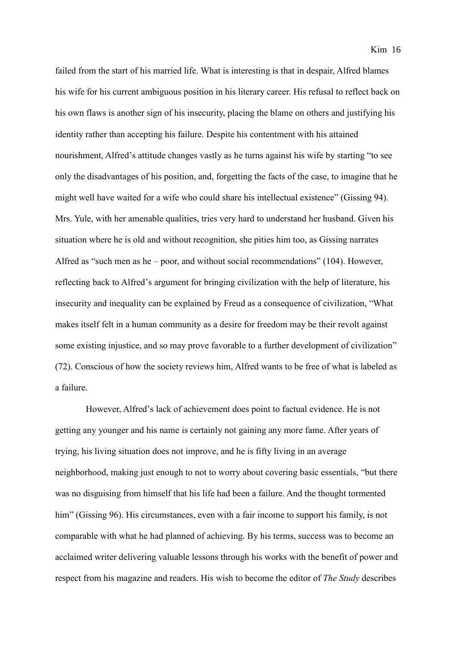failed from the start of his married life. What is interesting is that in despair, Alfred blames his wife for his current ambiguous position in his literary career. His refusal to reflect back on his own flaws is another sign of his insecurity, placing the blame on others and justifying his identity rather than accepting his failure. Despite his contentment with his attained nourishment, Alfred's attitude changes vastly as he turns against his wife by starting "to see only the disadvantages of his position, and, forgetting the facts of the case, to imagine that he might well have waited for a wife who could share his intellectual existence" (Gissing 94). Mrs. Yule, with her amenable qualities, tries very hard to understand her husband. Given his situation where he is old and without recognition, she pities him too, as Gissing narrates Alfred as "such men as he – poor, and without social recommendations" (104). However, reflecting back to Alfred's argument for bringing civilization with the help of literature, his insecurity and inequality can be explained by Freud as a consequence of civilization, "What makes itself felt in a human community as a desire for freedom may be their revolt against some existing injustice, and so may prove favorable to a further development of civilization" (72). Conscious of how the society reviews him, Alfred wants to be free of what is labeled as a failure.

However, Alfred's lack of achievement does point to factual evidence. He is not getting any younger and his name is certainly not gaining any more fame. After years of trying, his living situation does not improve, and he is fifty living in an average neighborhood, making just enough to not to worry about covering basic essentials, "but there was no disguising from himself that his life had been a failure. And the thought tormented him" (Gissing 96). His circumstances, even with a fair income to support his family, is not comparable with what he had planned of achieving. By his terms, success was to become an acclaimed writer delivering valuable lessons through his works with the benefit of power and respect from his magazine and readers. His wish to become the editor of *The Study* describes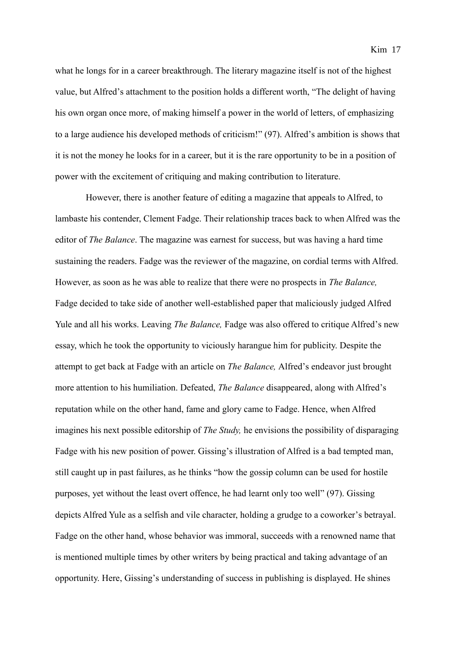what he longs for in a career breakthrough. The literary magazine itself is not of the highest value, but Alfred's attachment to the position holds a different worth, "The delight of having his own organ once more, of making himself a power in the world of letters, of emphasizing to a large audience his developed methods of criticism!" (97). Alfred's ambition is shows that it is not the money he looks for in a career, but it is the rare opportunity to be in a position of power with the excitement of critiquing and making contribution to literature.

However, there is another feature of editing a magazine that appeals to Alfred, to lambaste his contender, Clement Fadge. Their relationship traces back to when Alfred was the editor of *The Balance*. The magazine was earnest for success, but was having a hard time sustaining the readers. Fadge was the reviewer of the magazine, on cordial terms with Alfred. However, as soon as he was able to realize that there were no prospects in *The Balance,*  Fadge decided to take side of another well-established paper that maliciously judged Alfred Yule and all his works. Leaving *The Balance,* Fadge was also offered to critique Alfred's new essay, which he took the opportunity to viciously harangue him for publicity. Despite the attempt to get back at Fadge with an article on *The Balance,* Alfred's endeavor just brought more attention to his humiliation. Defeated, *The Balance* disappeared, along with Alfred's reputation while on the other hand, fame and glory came to Fadge. Hence, when Alfred imagines his next possible editorship of *The Study,* he envisions the possibility of disparaging Fadge with his new position of power. Gissing's illustration of Alfred is a bad tempted man, still caught up in past failures, as he thinks "how the gossip column can be used for hostile purposes, yet without the least overt offence, he had learnt only too well" (97). Gissing depicts Alfred Yule as a selfish and vile character, holding a grudge to a coworker's betrayal. Fadge on the other hand, whose behavior was immoral, succeeds with a renowned name that is mentioned multiple times by other writers by being practical and taking advantage of an opportunity. Here, Gissing's understanding of success in publishing is displayed. He shines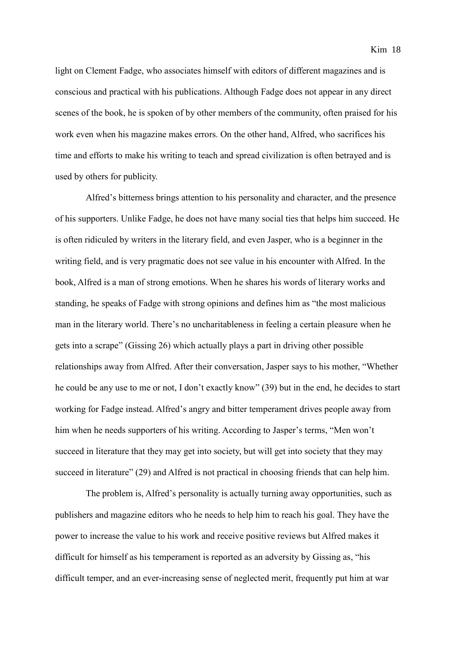light on Clement Fadge, who associates himself with editors of different magazines and is conscious and practical with his publications. Although Fadge does not appear in any direct scenes of the book, he is spoken of by other members of the community, often praised for his work even when his magazine makes errors. On the other hand, Alfred, who sacrifices his time and efforts to make his writing to teach and spread civilization is often betrayed and is used by others for publicity.

Alfred's bitterness brings attention to his personality and character, and the presence of his supporters. Unlike Fadge, he does not have many social ties that helps him succeed. He is often ridiculed by writers in the literary field, and even Jasper, who is a beginner in the writing field, and is very pragmatic does not see value in his encounter with Alfred. In the book, Alfred is a man of strong emotions. When he shares his words of literary works and standing, he speaks of Fadge with strong opinions and defines him as "the most malicious man in the literary world. There's no uncharitableness in feeling a certain pleasure when he gets into a scrape" (Gissing 26) which actually plays a part in driving other possible relationships away from Alfred. After their conversation, Jasper says to his mother, "Whether he could be any use to me or not, I don't exactly know" (39) but in the end, he decides to start working for Fadge instead. Alfred's angry and bitter temperament drives people away from him when he needs supporters of his writing. According to Jasper's terms, "Men won't succeed in literature that they may get into society, but will get into society that they may succeed in literature" (29) and Alfred is not practical in choosing friends that can help him.

The problem is, Alfred's personality is actually turning away opportunities, such as publishers and magazine editors who he needs to help him to reach his goal. They have the power to increase the value to his work and receive positive reviews but Alfred makes it difficult for himself as his temperament is reported as an adversity by Gissing as, "his difficult temper, and an ever-increasing sense of neglected merit, frequently put him at war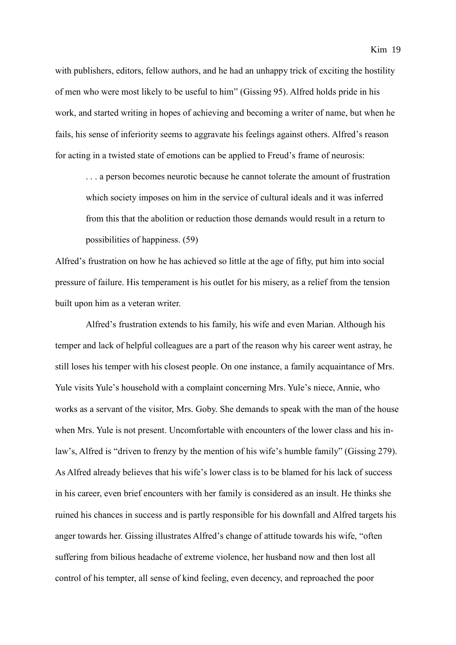with publishers, editors, fellow authors, and he had an unhappy trick of exciting the hostility of men who were most likely to be useful to him" (Gissing 95). Alfred holds pride in his work, and started writing in hopes of achieving and becoming a writer of name, but when he fails, his sense of inferiority seems to aggravate his feelings against others. Alfred's reason for acting in a twisted state of emotions can be applied to Freud's frame of neurosis:

. . . a person becomes neurotic because he cannot tolerate the amount of frustration which society imposes on him in the service of cultural ideals and it was inferred from this that the abolition or reduction those demands would result in a return to possibilities of happiness. (59)

Alfred's frustration on how he has achieved so little at the age of fifty, put him into social pressure of failure. His temperament is his outlet for his misery, as a relief from the tension built upon him as a veteran writer.

Alfred's frustration extends to his family, his wife and even Marian. Although his temper and lack of helpful colleagues are a part of the reason why his career went astray, he still loses his temper with his closest people. On one instance, a family acquaintance of Mrs. Yule visits Yule's household with a complaint concerning Mrs. Yule's niece, Annie, who works as a servant of the visitor, Mrs. Goby. She demands to speak with the man of the house when Mrs. Yule is not present. Uncomfortable with encounters of the lower class and his inlaw's, Alfred is "driven to frenzy by the mention of his wife's humble family" (Gissing 279). As Alfred already believes that his wife's lower class is to be blamed for his lack of success in his career, even brief encounters with her family is considered as an insult. He thinks she ruined his chances in success and is partly responsible for his downfall and Alfred targets his anger towards her. Gissing illustrates Alfred's change of attitude towards his wife, "often suffering from bilious headache of extreme violence, her husband now and then lost all control of his tempter, all sense of kind feeling, even decency, and reproached the poor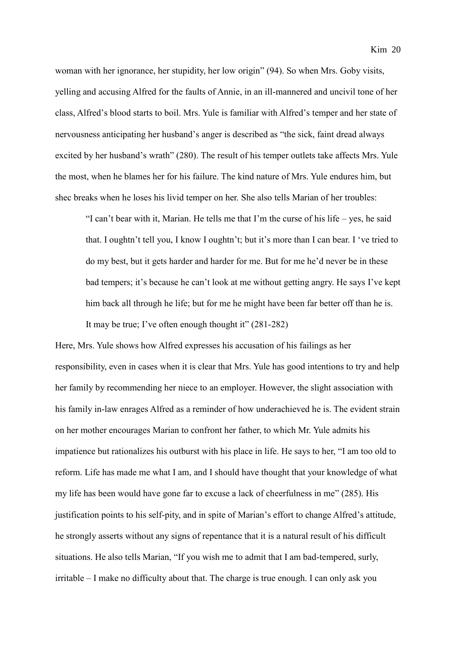woman with her ignorance, her stupidity, her low origin" (94). So when Mrs. Goby visits, yelling and accusing Alfred for the faults of Annie, in an ill-mannered and uncivil tone of her class, Alfred's blood starts to boil. Mrs. Yule is familiar with Alfred's temper and her state of nervousness anticipating her husband's anger is described as "the sick, faint dread always excited by her husband's wrath" (280). The result of his temper outlets take affects Mrs. Yule the most, when he blames her for his failure. The kind nature of Mrs. Yule endures him, but shec breaks when he loses his livid temper on her. She also tells Marian of her troubles:

"I can't bear with it, Marian. He tells me that I'm the curse of his life – yes, he said that. I oughtn't tell you, I know I oughtn't; but it's more than I can bear. I 've tried to do my best, but it gets harder and harder for me. But for me he'd never be in these bad tempers; it's because he can't look at me without getting angry. He says I've kept him back all through he life; but for me he might have been far better off than he is. It may be true; I've often enough thought it" (281-282)

Here, Mrs. Yule shows how Alfred expresses his accusation of his failings as her responsibility, even in cases when it is clear that Mrs. Yule has good intentions to try and help her family by recommending her niece to an employer. However, the slight association with his family in-law enrages Alfred as a reminder of how underachieved he is. The evident strain on her mother encourages Marian to confront her father, to which Mr. Yule admits his impatience but rationalizes his outburst with his place in life. He says to her, "I am too old to reform. Life has made me what I am, and I should have thought that your knowledge of what my life has been would have gone far to excuse a lack of cheerfulness in me" (285). His justification points to his self-pity, and in spite of Marian's effort to change Alfred's attitude, he strongly asserts without any signs of repentance that it is a natural result of his difficult situations. He also tells Marian, "If you wish me to admit that I am bad-tempered, surly, irritable – I make no difficulty about that. The charge is true enough. I can only ask you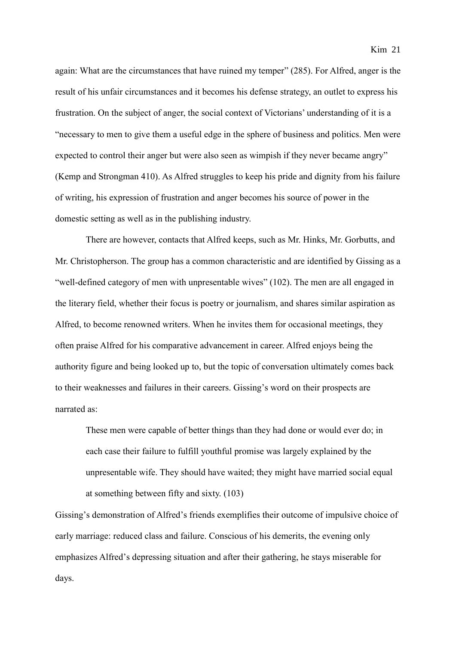again: What are the circumstances that have ruined my temper" (285). For Alfred, anger is the result of his unfair circumstances and it becomes his defense strategy, an outlet to express his frustration. On the subject of anger, the social context of Victorians' understanding of it is a "necessary to men to give them a useful edge in the sphere of business and politics. Men were expected to control their anger but were also seen as wimpish if they never became angry" (Kemp and Strongman 410). As Alfred struggles to keep his pride and dignity from his failure of writing, his expression of frustration and anger becomes his source of power in the domestic setting as well as in the publishing industry.

There are however, contacts that Alfred keeps, such as Mr. Hinks, Mr. Gorbutts, and Mr. Christopherson. The group has a common characteristic and are identified by Gissing as a "well-defined category of men with unpresentable wives" (102). The men are all engaged in the literary field, whether their focus is poetry or journalism, and shares similar aspiration as Alfred, to become renowned writers. When he invites them for occasional meetings, they often praise Alfred for his comparative advancement in career. Alfred enjoys being the authority figure and being looked up to, but the topic of conversation ultimately comes back to their weaknesses and failures in their careers. Gissing's word on their prospects are narrated as:

These men were capable of better things than they had done or would ever do; in each case their failure to fulfill youthful promise was largely explained by the unpresentable wife. They should have waited; they might have married social equal at something between fifty and sixty. (103)

Gissing's demonstration of Alfred's friends exemplifies their outcome of impulsive choice of early marriage: reduced class and failure. Conscious of his demerits, the evening only emphasizes Alfred's depressing situation and after their gathering, he stays miserable for days.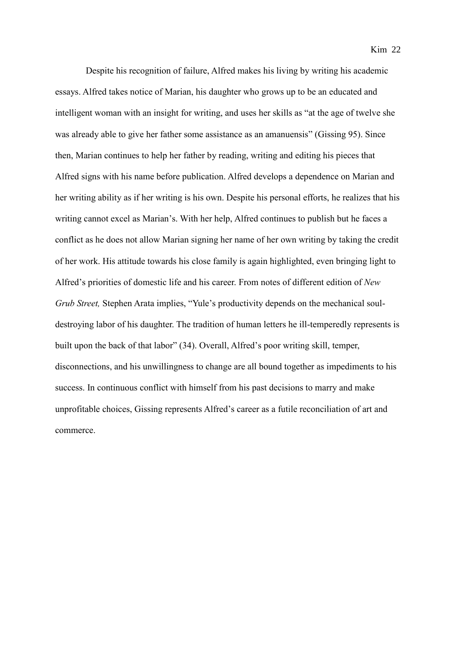Despite his recognition of failure, Alfred makes his living by writing his academic essays. Alfred takes notice of Marian, his daughter who grows up to be an educated and intelligent woman with an insight for writing, and uses her skills as "at the age of twelve she was already able to give her father some assistance as an amanuensis" (Gissing 95). Since then, Marian continues to help her father by reading, writing and editing his pieces that Alfred signs with his name before publication. Alfred develops a dependence on Marian and her writing ability as if her writing is his own. Despite his personal efforts, he realizes that his writing cannot excel as Marian's. With her help, Alfred continues to publish but he faces a conflict as he does not allow Marian signing her name of her own writing by taking the credit of her work. His attitude towards his close family is again highlighted, even bringing light to Alfred's priorities of domestic life and his career. From notes of different edition of *New Grub Street,* Stephen Arata implies, "Yule's productivity depends on the mechanical souldestroying labor of his daughter. The tradition of human letters he ill-temperedly represents is built upon the back of that labor" (34). Overall, Alfred's poor writing skill, temper, disconnections, and his unwillingness to change are all bound together as impediments to his success. In continuous conflict with himself from his past decisions to marry and make unprofitable choices, Gissing represents Alfred's career as a futile reconciliation of art and commerce.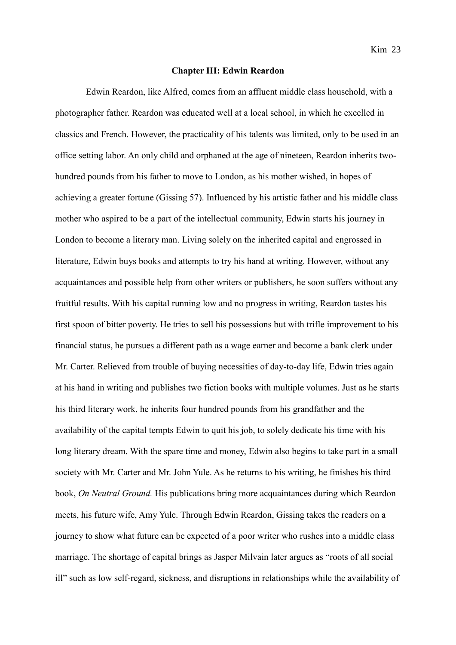#### **Chapter III: Edwin Reardon**

Edwin Reardon, like Alfred, comes from an affluent middle class household, with a photographer father. Reardon was educated well at a local school, in which he excelled in classics and French. However, the practicality of his talents was limited, only to be used in an office setting labor. An only child and orphaned at the age of nineteen, Reardon inherits twohundred pounds from his father to move to London, as his mother wished, in hopes of achieving a greater fortune (Gissing 57). Influenced by his artistic father and his middle class mother who aspired to be a part of the intellectual community, Edwin starts his journey in London to become a literary man. Living solely on the inherited capital and engrossed in literature, Edwin buys books and attempts to try his hand at writing. However, without any acquaintances and possible help from other writers or publishers, he soon suffers without any fruitful results. With his capital running low and no progress in writing, Reardon tastes his first spoon of bitter poverty. He tries to sell his possessions but with trifle improvement to his financial status, he pursues a different path as a wage earner and become a bank clerk under Mr. Carter. Relieved from trouble of buying necessities of day-to-day life, Edwin tries again at his hand in writing and publishes two fiction books with multiple volumes. Just as he starts his third literary work, he inherits four hundred pounds from his grandfather and the availability of the capital tempts Edwin to quit his job, to solely dedicate his time with his long literary dream. With the spare time and money, Edwin also begins to take part in a small society with Mr. Carter and Mr. John Yule. As he returns to his writing, he finishes his third book, *On Neutral Ground.* His publications bring more acquaintances during which Reardon meets, his future wife, Amy Yule. Through Edwin Reardon, Gissing takes the readers on a journey to show what future can be expected of a poor writer who rushes into a middle class marriage. The shortage of capital brings as Jasper Milvain later argues as "roots of all social ill" such as low self-regard, sickness, and disruptions in relationships while the availability of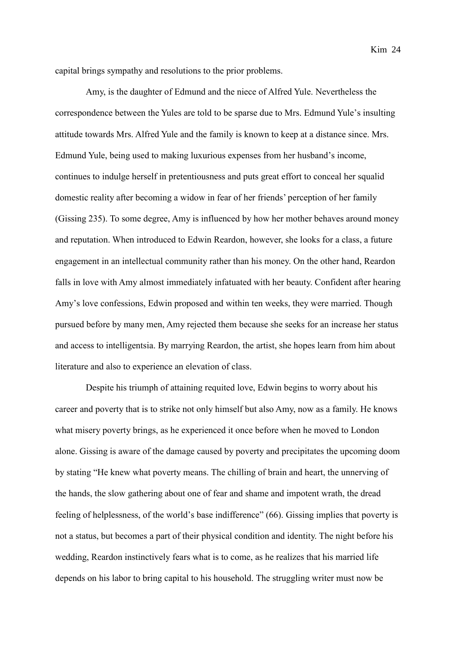capital brings sympathy and resolutions to the prior problems.

Amy, is the daughter of Edmund and the niece of Alfred Yule. Nevertheless the correspondence between the Yules are told to be sparse due to Mrs. Edmund Yule's insulting attitude towards Mrs. Alfred Yule and the family is known to keep at a distance since. Mrs. Edmund Yule, being used to making luxurious expenses from her husband's income, continues to indulge herself in pretentiousness and puts great effort to conceal her squalid domestic reality after becoming a widow in fear of her friends' perception of her family (Gissing 235). To some degree, Amy is influenced by how her mother behaves around money and reputation. When introduced to Edwin Reardon, however, she looks for a class, a future engagement in an intellectual community rather than his money. On the other hand, Reardon falls in love with Amy almost immediately infatuated with her beauty. Confident after hearing Amy's love confessions, Edwin proposed and within ten weeks, they were married. Though pursued before by many men, Amy rejected them because she seeks for an increase her status and access to intelligentsia. By marrying Reardon, the artist, she hopes learn from him about literature and also to experience an elevation of class.

Despite his triumph of attaining requited love, Edwin begins to worry about his career and poverty that is to strike not only himself but also Amy, now as a family. He knows what misery poverty brings, as he experienced it once before when he moved to London alone. Gissing is aware of the damage caused by poverty and precipitates the upcoming doom by stating "He knew what poverty means. The chilling of brain and heart, the unnerving of the hands, the slow gathering about one of fear and shame and impotent wrath, the dread feeling of helplessness, of the world's base indifference" (66). Gissing implies that poverty is not a status, but becomes a part of their physical condition and identity. The night before his wedding, Reardon instinctively fears what is to come, as he realizes that his married life depends on his labor to bring capital to his household. The struggling writer must now be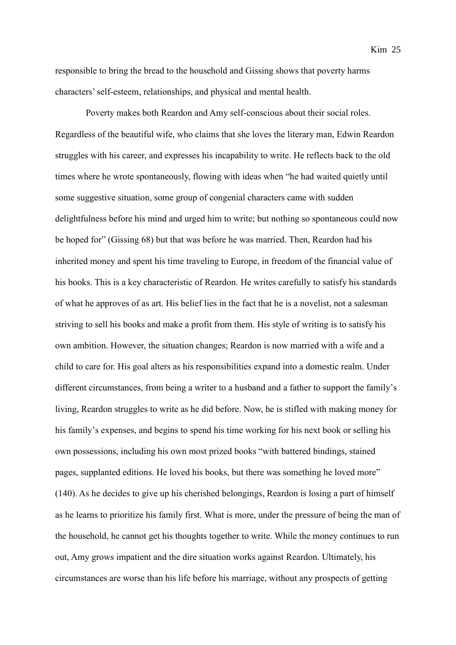responsible to bring the bread to the household and Gissing shows that poverty harms characters'self-esteem, relationships, and physical and mental health.

Poverty makes both Reardon and Amy self-conscious about their social roles. Regardless of the beautiful wife, who claims that she loves the literary man, Edwin Reardon struggles with his career, and expresses his incapability to write. He reflects back to the old times where he wrote spontaneously, flowing with ideas when "he had waited quietly until some suggestive situation, some group of congenial characters came with sudden delightfulness before his mind and urged him to write; but nothing so spontaneous could now be hoped for" (Gissing 68) but that was before he was married. Then, Reardon had his inherited money and spent his time traveling to Europe, in freedom of the financial value of his books. This is a key characteristic of Reardon. He writes carefully to satisfy his standards of what he approves of as art. His belief lies in the fact that he is a novelist, not a salesman striving to sell his books and make a profit from them. His style of writing is to satisfy his own ambition. However, the situation changes; Reardon is now married with a wife and a child to care for. His goal alters as his responsibilities expand into a domestic realm. Under different circumstances, from being a writer to a husband and a father to support the family's living, Reardon struggles to write as he did before. Now, he is stifled with making money for his family's expenses, and begins to spend his time working for his next book or selling his own possessions, including his own most prized books "with battered bindings, stained pages, supplanted editions. He loved his books, but there was something he loved more" (140). As he decides to give up his cherished belongings, Reardon is losing a part of himself as he learns to prioritize his family first. What is more, under the pressure of being the man of the household, he cannot get his thoughts together to write. While the money continues to run out, Amy grows impatient and the dire situation works against Reardon. Ultimately, his circumstances are worse than his life before his marriage, without any prospects of getting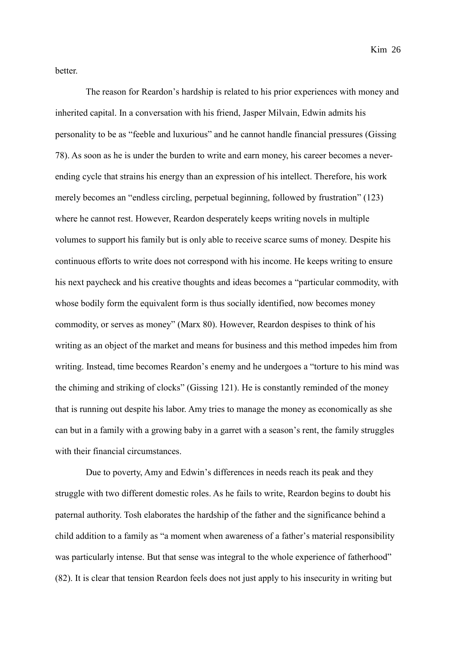better.

The reason for Reardon's hardship is related to his prior experiences with money and inherited capital. In a conversation with his friend, Jasper Milvain, Edwin admits his personality to be as "feeble and luxurious" and he cannot handle financial pressures (Gissing 78). As soon as he is under the burden to write and earn money, his career becomes a neverending cycle that strains his energy than an expression of his intellect. Therefore, his work merely becomes an "endless circling, perpetual beginning, followed by frustration" (123) where he cannot rest. However, Reardon desperately keeps writing novels in multiple volumes to support his family but is only able to receive scarce sums of money. Despite his continuous efforts to write does not correspond with his income. He keeps writing to ensure his next paycheck and his creative thoughts and ideas becomes a "particular commodity, with whose bodily form the equivalent form is thus socially identified, now becomes money commodity, or serves as money" (Marx 80). However, Reardon despises to think of his writing as an object of the market and means for business and this method impedes him from writing. Instead, time becomes Reardon's enemy and he undergoes a "torture to his mind was the chiming and striking of clocks" (Gissing 121). He is constantly reminded of the money that is running out despite his labor. Amy tries to manage the money as economically as she can but in a family with a growing baby in a garret with a season's rent, the family struggles with their financial circumstances.

Due to poverty, Amy and Edwin's differences in needs reach its peak and they struggle with two different domestic roles. As he fails to write, Reardon begins to doubt his paternal authority. Tosh elaborates the hardship of the father and the significance behind a child addition to a family as "a moment when awareness of a father's material responsibility was particularly intense. But that sense was integral to the whole experience of fatherhood" (82). It is clear that tension Reardon feels does not just apply to his insecurity in writing but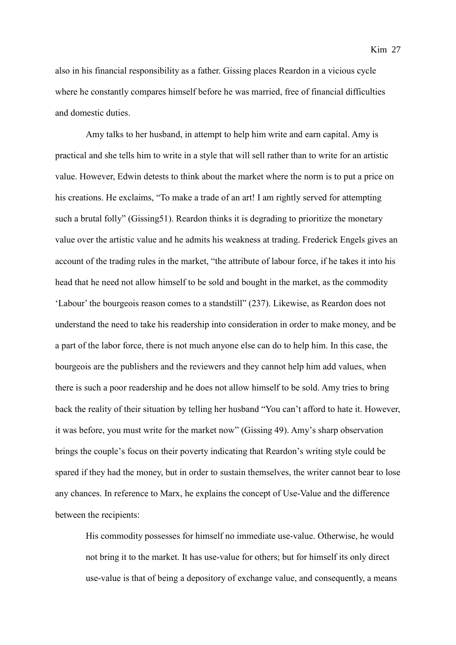also in his financial responsibility as a father. Gissing places Reardon in a vicious cycle where he constantly compares himself before he was married, free of financial difficulties and domestic duties.

Amy talks to her husband, in attempt to help him write and earn capital. Amy is practical and she tells him to write in a style that will sell rather than to write for an artistic value. However, Edwin detests to think about the market where the norm is to put a price on his creations. He exclaims, "To make a trade of an art! I am rightly served for attempting such a brutal folly" (Gissing51). Reardon thinks it is degrading to prioritize the monetary value over the artistic value and he admits his weakness at trading. Frederick Engels gives an account of the trading rules in the market, "the attribute of labour force, if he takes it into his head that he need not allow himself to be sold and bought in the market, as the commodity 'Labour' the bourgeois reason comes to a standstill" (237). Likewise, as Reardon does not understand the need to take his readership into consideration in order to make money, and be a part of the labor force, there is not much anyone else can do to help him. In this case, the bourgeois are the publishers and the reviewers and they cannot help him add values, when there is such a poor readership and he does not allow himself to be sold. Amy tries to bring back the reality of their situation by telling her husband "You can't afford to hate it. However, it was before, you must write for the market now" (Gissing 49). Amy's sharp observation brings the couple's focus on their poverty indicating that Reardon's writing style could be spared if they had the money, but in order to sustain themselves, the writer cannot bear to lose any chances. In reference to Marx, he explains the concept of Use-Value and the difference between the recipients:

His commodity possesses for himself no immediate use-value. Otherwise, he would not bring it to the market. It has use-value for others; but for himself its only direct use-value is that of being a depository of exchange value, and consequently, a means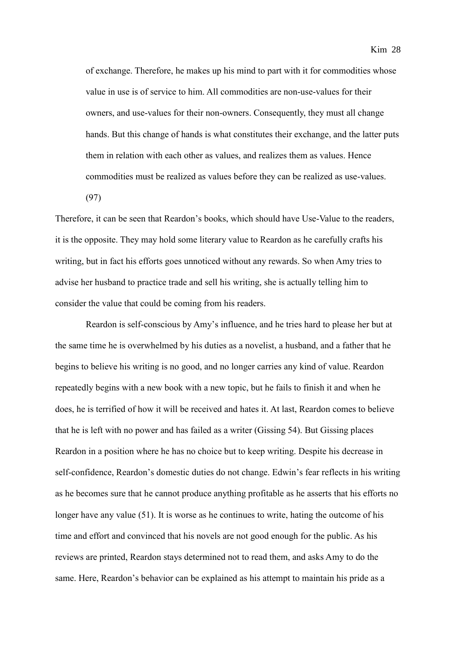of exchange. Therefore, he makes up his mind to part with it for commodities whose value in use is of service to him. All commodities are non-use-values for their owners, and use-values for their non-owners. Consequently, they must all change hands. But this change of hands is what constitutes their exchange, and the latter puts them in relation with each other as values, and realizes them as values. Hence commodities must be realized as values before they can be realized as use-values.

(97)

Therefore, it can be seen that Reardon's books, which should have Use-Value to the readers, it is the opposite. They may hold some literary value to Reardon as he carefully crafts his writing, but in fact his efforts goes unnoticed without any rewards. So when Amy tries to advise her husband to practice trade and sell his writing, she is actually telling him to consider the value that could be coming from his readers.

Reardon is self-conscious by Amy's influence, and he tries hard to please her but at the same time he is overwhelmed by his duties as a novelist, a husband, and a father that he begins to believe his writing is no good, and no longer carries any kind of value. Reardon repeatedly begins with a new book with a new topic, but he fails to finish it and when he does, he is terrified of how it will be received and hates it. At last, Reardon comes to believe that he is left with no power and has failed as a writer (Gissing 54). But Gissing places Reardon in a position where he has no choice but to keep writing. Despite his decrease in self-confidence, Reardon's domestic duties do not change. Edwin's fear reflects in his writing as he becomes sure that he cannot produce anything profitable as he asserts that his efforts no longer have any value (51). It is worse as he continues to write, hating the outcome of his time and effort and convinced that his novels are not good enough for the public. As his reviews are printed, Reardon stays determined not to read them, and asks Amy to do the same. Here, Reardon's behavior can be explained as his attempt to maintain his pride as a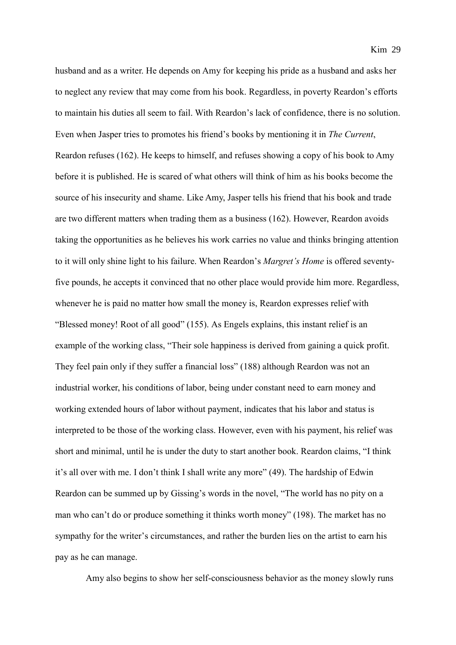husband and as a writer. He depends on Amy for keeping his pride as a husband and asks her to neglect any review that may come from his book. Regardless, in poverty Reardon's efforts to maintain his duties all seem to fail. With Reardon's lack of confidence, there is no solution. Even when Jasper tries to promotes his friend's books by mentioning it in *The Current*, Reardon refuses (162). He keeps to himself, and refuses showing a copy of his book to Amy before it is published. He is scared of what others will think of him as his books become the source of his insecurity and shame. Like Amy, Jasper tells his friend that his book and trade are two different matters when trading them as a business (162). However, Reardon avoids taking the opportunities as he believes his work carries no value and thinks bringing attention to it will only shine light to his failure. When Reardon's *Margret's Home* is offered seventyfive pounds, he accepts it convinced that no other place would provide him more. Regardless, whenever he is paid no matter how small the money is, Reardon expresses relief with "Blessed money! Root of all good" (155). As Engels explains, this instant relief is an example of the working class, "Their sole happiness is derived from gaining a quick profit. They feel pain only if they suffer a financial loss" (188) although Reardon was not an industrial worker, his conditions of labor, being under constant need to earn money and working extended hours of labor without payment, indicates that his labor and status is interpreted to be those of the working class. However, even with his payment, his relief was short and minimal, until he is under the duty to start another book. Reardon claims, "I think it's all over with me. I don't think I shall write any more" (49). The hardship of Edwin Reardon can be summed up by Gissing's words in the novel, "The world has no pity on a man who can't do or produce something it thinks worth money" (198). The market has no sympathy for the writer's circumstances, and rather the burden lies on the artist to earn his pay as he can manage.

Amy also begins to show her self-consciousness behavior as the money slowly runs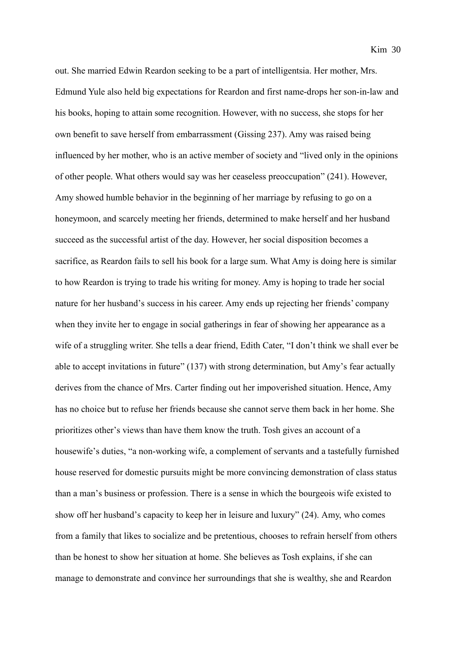out. She married Edwin Reardon seeking to be a part of intelligentsia. Her mother, Mrs. Edmund Yule also held big expectations for Reardon and first name-drops her son-in-law and his books, hoping to attain some recognition. However, with no success, she stops for her own benefit to save herself from embarrassment (Gissing 237). Amy was raised being influenced by her mother, who is an active member of society and "lived only in the opinions of other people. What others would say was her ceaseless preoccupation" (241). However, Amy showed humble behavior in the beginning of her marriage by refusing to go on a honeymoon, and scarcely meeting her friends, determined to make herself and her husband succeed as the successful artist of the day. However, her social disposition becomes a sacrifice, as Reardon fails to sell his book for a large sum. What Amy is doing here is similar to how Reardon is trying to trade his writing for money. Amy is hoping to trade her social nature for her husband's success in his career. Amy ends up rejecting her friends' company when they invite her to engage in social gatherings in fear of showing her appearance as a wife of a struggling writer. She tells a dear friend, Edith Cater, "I don't think we shall ever be able to accept invitations in future" (137) with strong determination, but Amy's fear actually derives from the chance of Mrs. Carter finding out her impoverished situation. Hence, Amy has no choice but to refuse her friends because she cannot serve them back in her home. She prioritizes other's views than have them know the truth. Tosh gives an account of a housewife's duties, "a non-working wife, a complement of servants and a tastefully furnished house reserved for domestic pursuits might be more convincing demonstration of class status than a man's business or profession. There is a sense in which the bourgeois wife existed to show off her husband's capacity to keep her in leisure and luxury" (24). Amy, who comes from a family that likes to socialize and be pretentious, chooses to refrain herself from others than be honest to show her situation at home. She believes as Tosh explains, if she can manage to demonstrate and convince her surroundings that she is wealthy, she and Reardon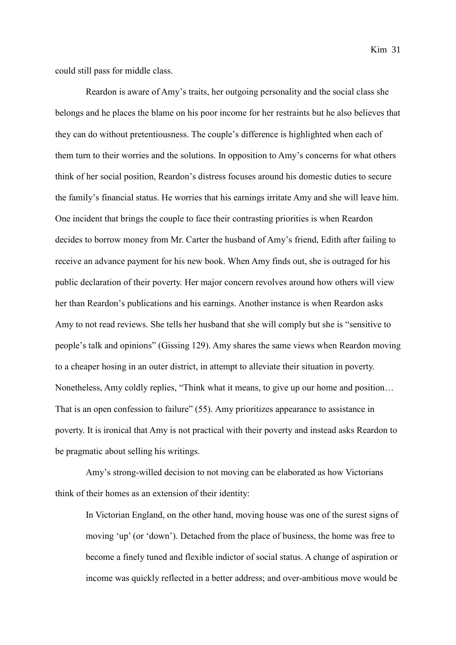Kim 31

could still pass for middle class.

Reardon is aware of Amy's traits, her outgoing personality and the social class she belongs and he places the blame on his poor income for her restraints but he also believes that they can do without pretentiousness. The couple's difference is highlighted when each of them turn to their worries and the solutions. In opposition to Amy's concerns for what others think of her social position, Reardon's distress focuses around his domestic duties to secure the family's financial status. He worries that his earnings irritate Amy and she will leave him. One incident that brings the couple to face their contrasting priorities is when Reardon decides to borrow money from Mr. Carter the husband of Amy's friend, Edith after failing to receive an advance payment for his new book. When Amy finds out, she is outraged for his public declaration of their poverty. Her major concern revolves around how others will view her than Reardon's publications and his earnings. Another instance is when Reardon asks Amy to not read reviews. She tells her husband that she will comply but she is "sensitive to people's talk and opinions" (Gissing 129). Amy shares the same views when Reardon moving to a cheaper hosing in an outer district, in attempt to alleviate their situation in poverty. Nonetheless, Amy coldly replies, "Think what it means, to give up our home and position… That is an open confession to failure" (55). Amy prioritizes appearance to assistance in poverty. It is ironical that Amy is not practical with their poverty and instead asks Reardon to be pragmatic about selling his writings.

Amy's strong-willed decision to not moving can be elaborated as how Victorians think of their homes as an extension of their identity:

In Victorian England, on the other hand, moving house was one of the surest signs of moving 'up' (or 'down'). Detached from the place of business, the home was free to become a finely tuned and flexible indictor of social status. A change of aspiration or income was quickly reflected in a better address; and over-ambitious move would be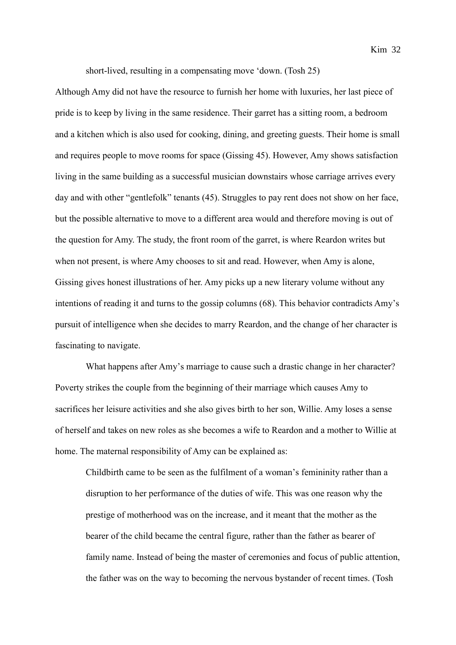short-lived, resulting in a compensating move 'down. (Tosh 25)

Although Amy did not have the resource to furnish her home with luxuries, her last piece of pride is to keep by living in the same residence. Their garret has a sitting room, a bedroom and a kitchen which is also used for cooking, dining, and greeting guests. Their home is small and requires people to move rooms for space (Gissing 45). However, Amy shows satisfaction living in the same building as a successful musician downstairs whose carriage arrives every day and with other "gentlefolk" tenants (45). Struggles to pay rent does not show on her face, but the possible alternative to move to a different area would and therefore moving is out of the question for Amy. The study, the front room of the garret, is where Reardon writes but when not present, is where Amy chooses to sit and read. However, when Amy is alone, Gissing gives honest illustrations of her. Amy picks up a new literary volume without any intentions of reading it and turns to the gossip columns (68). This behavior contradicts Amy's pursuit of intelligence when she decides to marry Reardon, and the change of her character is fascinating to navigate.

What happens after Amy's marriage to cause such a drastic change in her character? Poverty strikes the couple from the beginning of their marriage which causes Amy to sacrifices her leisure activities and she also gives birth to her son, Willie. Amy loses a sense of herself and takes on new roles as she becomes a wife to Reardon and a mother to Willie at home. The maternal responsibility of Amy can be explained as:

Childbirth came to be seen as the fulfilment of a woman's femininity rather than a disruption to her performance of the duties of wife. This was one reason why the prestige of motherhood was on the increase, and it meant that the mother as the bearer of the child became the central figure, rather than the father as bearer of family name. Instead of being the master of ceremonies and focus of public attention, the father was on the way to becoming the nervous bystander of recent times. (Tosh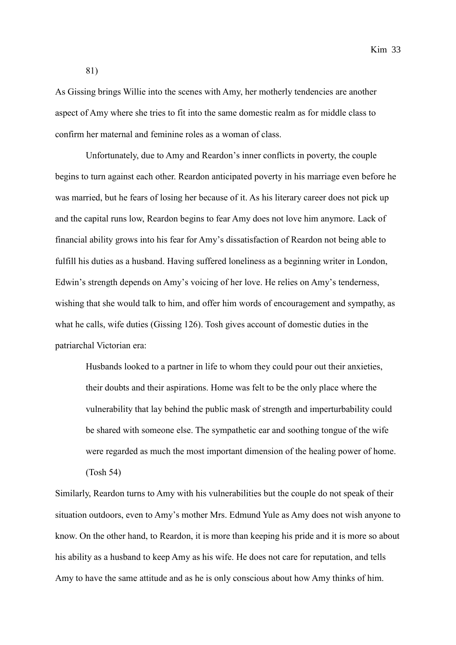Kim 33

81)

As Gissing brings Willie into the scenes with Amy, her motherly tendencies are another aspect of Amy where she tries to fit into the same domestic realm as for middle class to confirm her maternal and feminine roles as a woman of class.

Unfortunately, due to Amy and Reardon's inner conflicts in poverty, the couple begins to turn against each other. Reardon anticipated poverty in his marriage even before he was married, but he fears of losing her because of it. As his literary career does not pick up and the capital runs low, Reardon begins to fear Amy does not love him anymore. Lack of financial ability grows into his fear for Amy's dissatisfaction of Reardon not being able to fulfill his duties as a husband. Having suffered loneliness as a beginning writer in London, Edwin's strength depends on Amy's voicing of her love. He relies on Amy's tenderness, wishing that she would talk to him, and offer him words of encouragement and sympathy, as what he calls, wife duties (Gissing 126). Tosh gives account of domestic duties in the patriarchal Victorian era:

Husbands looked to a partner in life to whom they could pour out their anxieties, their doubts and their aspirations. Home was felt to be the only place where the vulnerability that lay behind the public mask of strength and imperturbability could be shared with someone else. The sympathetic ear and soothing tongue of the wife were regarded as much the most important dimension of the healing power of home. (Tosh 54)

Similarly, Reardon turns to Amy with his vulnerabilities but the couple do not speak of their situation outdoors, even to Amy's mother Mrs. Edmund Yule as Amy does not wish anyone to know. On the other hand, to Reardon, it is more than keeping his pride and it is more so about his ability as a husband to keep Amy as his wife. He does not care for reputation, and tells Amy to have the same attitude and as he is only conscious about how Amy thinks of him.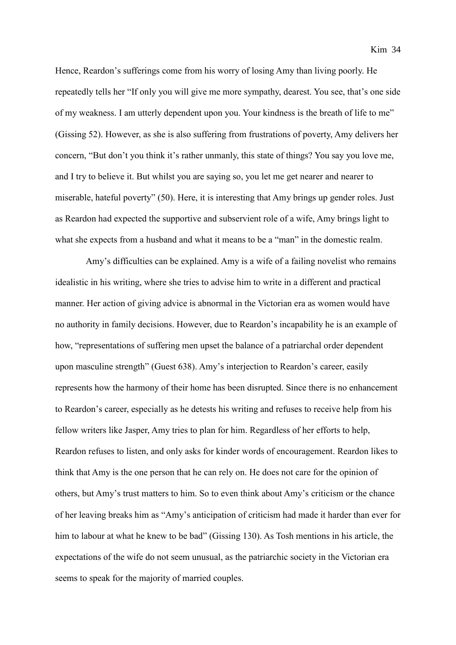Hence, Reardon's sufferings come from his worry of losing Amy than living poorly. He repeatedly tells her "If only you will give me more sympathy, dearest. You see, that's one side of my weakness. I am utterly dependent upon you. Your kindness is the breath of life to me" (Gissing 52). However, as she is also suffering from frustrations of poverty, Amy delivers her concern, "But don't you think it's rather unmanly, this state of things? You say you love me, and I try to believe it. But whilst you are saying so, you let me get nearer and nearer to miserable, hateful poverty" (50). Here, it is interesting that Amy brings up gender roles. Just as Reardon had expected the supportive and subservient role of a wife, Amy brings light to what she expects from a husband and what it means to be a "man" in the domestic realm.

Amy's difficulties can be explained. Amy is a wife of a failing novelist who remains idealistic in his writing, where she tries to advise him to write in a different and practical manner. Her action of giving advice is abnormal in the Victorian era as women would have no authority in family decisions. However, due to Reardon's incapability he is an example of how, "representations of suffering men upset the balance of a patriarchal order dependent upon masculine strength" (Guest 638). Amy's interjection to Reardon's career, easily represents how the harmony of their home has been disrupted. Since there is no enhancement to Reardon's career, especially as he detests his writing and refuses to receive help from his fellow writers like Jasper, Amy tries to plan for him. Regardless of her efforts to help, Reardon refuses to listen, and only asks for kinder words of encouragement. Reardon likes to think that Amy is the one person that he can rely on. He does not care for the opinion of others, but Amy's trust matters to him. So to even think about Amy's criticism or the chance of her leaving breaks him as "Amy's anticipation of criticism had made it harder than ever for him to labour at what he knew to be bad" (Gissing 130). As Tosh mentions in his article, the expectations of the wife do not seem unusual, as the patriarchic society in the Victorian era seems to speak for the majority of married couples.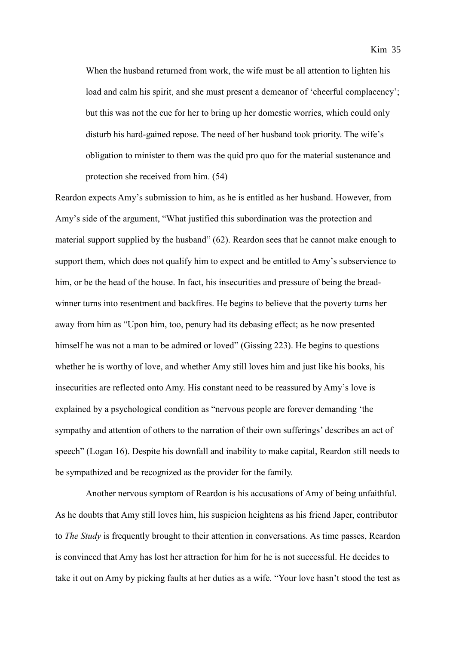When the husband returned from work, the wife must be all attention to lighten his load and calm his spirit, and she must present a demeanor of 'cheerful complacency'; but this was not the cue for her to bring up her domestic worries, which could only disturb his hard-gained repose. The need of her husband took priority. The wife's obligation to minister to them was the quid pro quo for the material sustenance and protection she received from him. (54)

Reardon expects Amy's submission to him, as he is entitled as her husband. However, from Amy's side of the argument, "What justified this subordination was the protection and material support supplied by the husband" (62). Reardon sees that he cannot make enough to support them, which does not qualify him to expect and be entitled to Amy's subservience to him, or be the head of the house. In fact, his insecurities and pressure of being the breadwinner turns into resentment and backfires. He begins to believe that the poverty turns her away from him as "Upon him, too, penury had its debasing effect; as he now presented himself he was not a man to be admired or loved" (Gissing 223). He begins to questions whether he is worthy of love, and whether Amy still loves him and just like his books, his insecurities are reflected onto Amy. His constant need to be reassured by Amy's love is explained by a psychological condition as "nervous people are forever demanding 'the sympathy and attention of others to the narration of their own sufferings' describes an act of speech" (Logan 16). Despite his downfall and inability to make capital, Reardon still needs to be sympathized and be recognized as the provider for the family.

Another nervous symptom of Reardon is his accusations of Amy of being unfaithful. As he doubts that Amy still loves him, his suspicion heightens as his friend Japer, contributor to *The Study* is frequently brought to their attention in conversations. As time passes, Reardon is convinced that Amy has lost her attraction for him for he is not successful. He decides to take it out on Amy by picking faults at her duties as a wife. "Your love hasn't stood the test as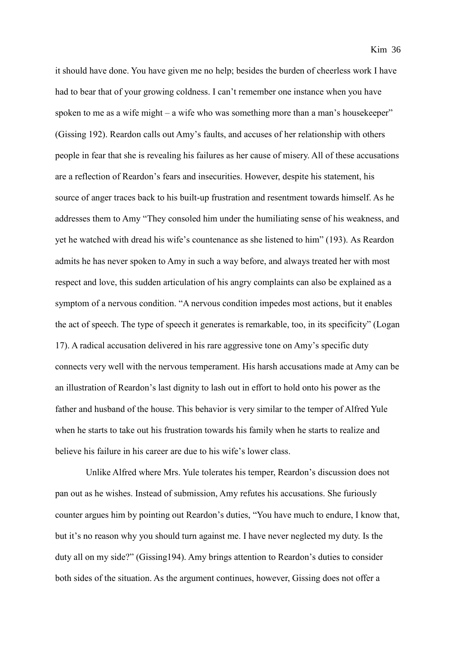it should have done. You have given me no help; besides the burden of cheerless work I have had to bear that of your growing coldness. I can't remember one instance when you have spoken to me as a wife might – a wife who was something more than a man's housekeeper" (Gissing 192). Reardon calls out Amy's faults, and accuses of her relationship with others people in fear that she is revealing his failures as her cause of misery. All of these accusations are a reflection of Reardon's fears and insecurities. However, despite his statement, his source of anger traces back to his built-up frustration and resentment towards himself. As he addresses them to Amy "They consoled him under the humiliating sense of his weakness, and yet he watched with dread his wife's countenance as she listened to him" (193). As Reardon admits he has never spoken to Amy in such a way before, and always treated her with most respect and love, this sudden articulation of his angry complaints can also be explained as a symptom of a nervous condition. "A nervous condition impedes most actions, but it enables the act of speech. The type of speech it generates is remarkable, too, in its specificity" (Logan 17). A radical accusation delivered in his rare aggressive tone on Amy's specific duty connects very well with the nervous temperament. His harsh accusations made at Amy can be an illustration of Reardon's last dignity to lash out in effort to hold onto his power as the father and husband of the house. This behavior is very similar to the temper of Alfred Yule when he starts to take out his frustration towards his family when he starts to realize and believe his failure in his career are due to his wife's lower class.

Unlike Alfred where Mrs. Yule tolerates his temper, Reardon's discussion does not pan out as he wishes. Instead of submission, Amy refutes his accusations. She furiously counter argues him by pointing out Reardon's duties, "You have much to endure, I know that, but it's no reason why you should turn against me. I have never neglected my duty. Is the duty all on my side?" (Gissing194). Amy brings attention to Reardon's duties to consider both sides of the situation. As the argument continues, however, Gissing does not offer a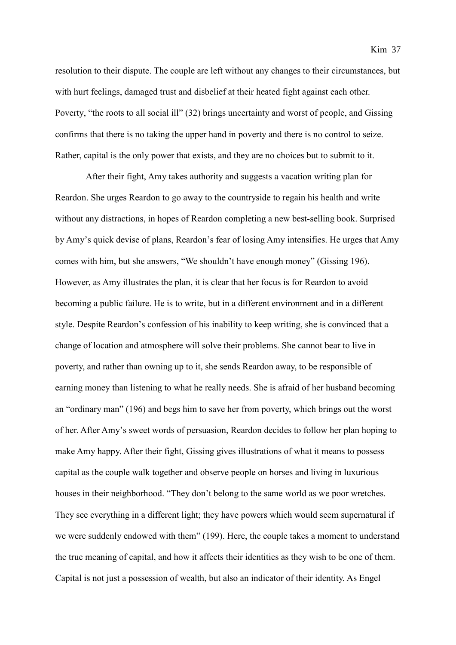resolution to their dispute. The couple are left without any changes to their circumstances, but with hurt feelings, damaged trust and disbelief at their heated fight against each other. Poverty, "the roots to all social ill" (32) brings uncertainty and worst of people, and Gissing confirms that there is no taking the upper hand in poverty and there is no control to seize. Rather, capital is the only power that exists, and they are no choices but to submit to it.

After their fight, Amy takes authority and suggests a vacation writing plan for Reardon. She urges Reardon to go away to the countryside to regain his health and write without any distractions, in hopes of Reardon completing a new best-selling book. Surprised by Amy's quick devise of plans, Reardon's fear of losing Amy intensifies. He urges that Amy comes with him, but she answers, "We shouldn't have enough money" (Gissing 196). However, as Amy illustrates the plan, it is clear that her focus is for Reardon to avoid becoming a public failure. He is to write, but in a different environment and in a different style. Despite Reardon's confession of his inability to keep writing, she is convinced that a change of location and atmosphere will solve their problems. She cannot bear to live in poverty, and rather than owning up to it, she sends Reardon away, to be responsible of earning money than listening to what he really needs. She is afraid of her husband becoming an "ordinary man" (196) and begs him to save her from poverty, which brings out the worst of her. After Amy's sweet words of persuasion, Reardon decides to follow her plan hoping to make Amy happy. After their fight, Gissing gives illustrations of what it means to possess capital as the couple walk together and observe people on horses and living in luxurious houses in their neighborhood. "They don't belong to the same world as we poor wretches. They see everything in a different light; they have powers which would seem supernatural if we were suddenly endowed with them" (199). Here, the couple takes a moment to understand the true meaning of capital, and how it affects their identities as they wish to be one of them. Capital is not just a possession of wealth, but also an indicator of their identity. As Engel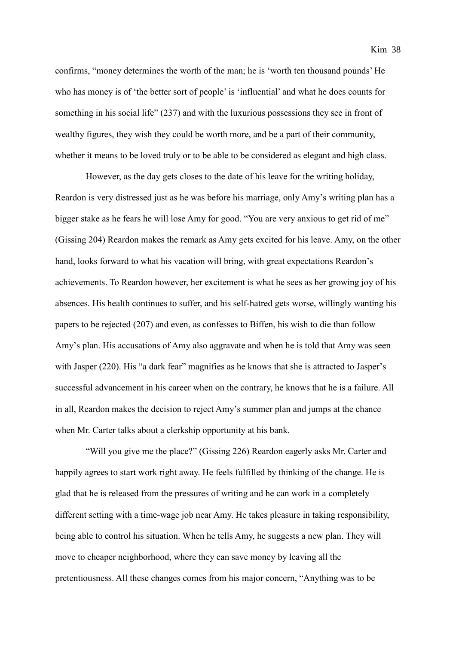confirms, "money determines the worth of the man; he is 'worth ten thousand pounds' He who has money is of 'the better sort of people' is 'influential' and what he does counts for something in his social life" (237) and with the luxurious possessions they see in front of wealthy figures, they wish they could be worth more, and be a part of their community, whether it means to be loved truly or to be able to be considered as elegant and high class.

However, as the day gets closes to the date of his leave for the writing holiday, Reardon is very distressed just as he was before his marriage, only Amy's writing plan has a bigger stake as he fears he will lose Amy for good. "You are very anxious to get rid of me" (Gissing 204) Reardon makes the remark as Amy gets excited for his leave. Amy, on the other hand, looks forward to what his vacation will bring, with great expectations Reardon's achievements. To Reardon however, her excitement is what he sees as her growing joy of his absences. His health continues to suffer, and his self-hatred gets worse, willingly wanting his papers to be rejected (207) and even, as confesses to Biffen, his wish to die than follow Amy's plan. His accusations of Amy also aggravate and when he is told that Amy was seen with Jasper (220). His "a dark fear" magnifies as he knows that she is attracted to Jasper's successful advancement in his career when on the contrary, he knows that he is a failure. All in all, Reardon makes the decision to reject Amy's summer plan and jumps at the chance when Mr. Carter talks about a clerkship opportunity at his bank.

"Will you give me the place?" (Gissing 226) Reardon eagerly asks Mr. Carter and happily agrees to start work right away. He feels fulfilled by thinking of the change. He is glad that he is released from the pressures of writing and he can work in a completely different setting with a time-wage job near Amy. He takes pleasure in taking responsibility, being able to control his situation. When he tells Amy, he suggests a new plan. They will move to cheaper neighborhood, where they can save money by leaving all the pretentiousness. All these changes comes from his major concern, "Anything was to be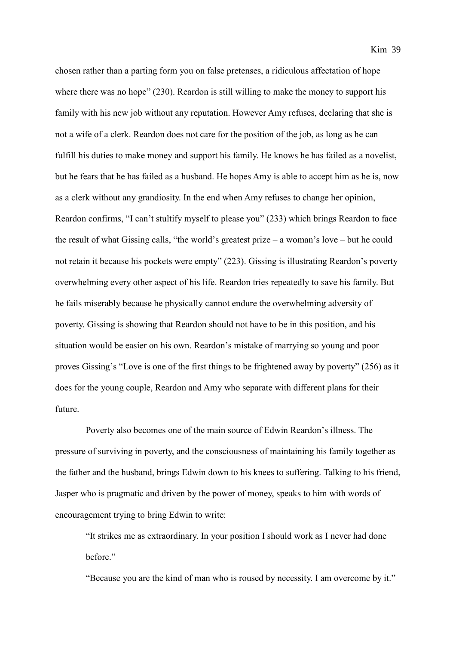chosen rather than a parting form you on false pretenses, a ridiculous affectation of hope where there was no hope" (230). Reardon is still willing to make the money to support his family with his new job without any reputation. However Amy refuses, declaring that she is not a wife of a clerk. Reardon does not care for the position of the job, as long as he can fulfill his duties to make money and support his family. He knows he has failed as a novelist, but he fears that he has failed as a husband. He hopes Amy is able to accept him as he is, now as a clerk without any grandiosity. In the end when Amy refuses to change her opinion, Reardon confirms, "I can't stultify myself to please you" (233) which brings Reardon to face the result of what Gissing calls, "the world's greatest prize – a woman's love – but he could not retain it because his pockets were empty" (223). Gissing is illustrating Reardon's poverty overwhelming every other aspect of his life. Reardon tries repeatedly to save his family. But he fails miserably because he physically cannot endure the overwhelming adversity of poverty. Gissing is showing that Reardon should not have to be in this position, and his situation would be easier on his own. Reardon's mistake of marrying so young and poor proves Gissing's "Love is one of the first things to be frightened away by poverty" (256) as it does for the young couple, Reardon and Amy who separate with different plans for their future.

Poverty also becomes one of the main source of Edwin Reardon's illness. The pressure of surviving in poverty, and the consciousness of maintaining his family together as the father and the husband, brings Edwin down to his knees to suffering. Talking to his friend, Jasper who is pragmatic and driven by the power of money, speaks to him with words of encouragement trying to bring Edwin to write:

"It strikes me as extraordinary. In your position I should work as I never had done before."

"Because you are the kind of man who is roused by necessity. I am overcome by it."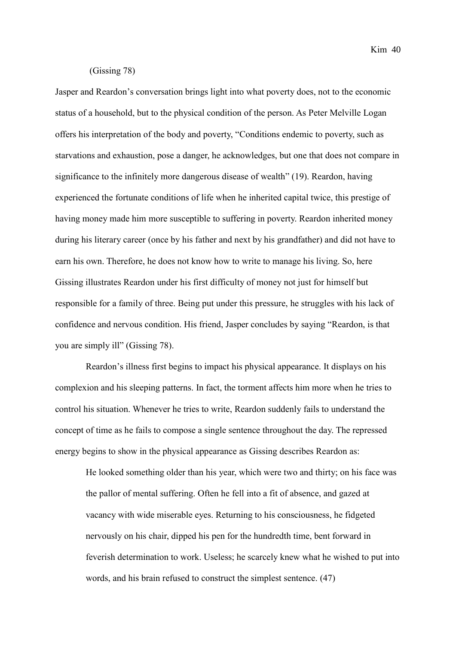$Kim$  40

## (Gissing 78)

Jasper and Reardon's conversation brings light into what poverty does, not to the economic status of a household, but to the physical condition of the person. As Peter Melville Logan offers his interpretation of the body and poverty, "Conditions endemic to poverty, such as starvations and exhaustion, pose a danger, he acknowledges, but one that does not compare in significance to the infinitely more dangerous disease of wealth" (19). Reardon, having experienced the fortunate conditions of life when he inherited capital twice, this prestige of having money made him more susceptible to suffering in poverty. Reardon inherited money during his literary career (once by his father and next by his grandfather) and did not have to earn his own. Therefore, he does not know how to write to manage his living. So, here Gissing illustrates Reardon under his first difficulty of money not just for himself but responsible for a family of three. Being put under this pressure, he struggles with his lack of confidence and nervous condition. His friend, Jasper concludes by saying "Reardon, is that you are simply ill" (Gissing 78).

Reardon's illness first begins to impact his physical appearance. It displays on his complexion and his sleeping patterns. In fact, the torment affects him more when he tries to control his situation. Whenever he tries to write, Reardon suddenly fails to understand the concept of time as he fails to compose a single sentence throughout the day. The repressed energy begins to show in the physical appearance as Gissing describes Reardon as:

He looked something older than his year, which were two and thirty; on his face was the pallor of mental suffering. Often he fell into a fit of absence, and gazed at vacancy with wide miserable eyes. Returning to his consciousness, he fidgeted nervously on his chair, dipped his pen for the hundredth time, bent forward in feverish determination to work. Useless; he scarcely knew what he wished to put into words, and his brain refused to construct the simplest sentence. (47)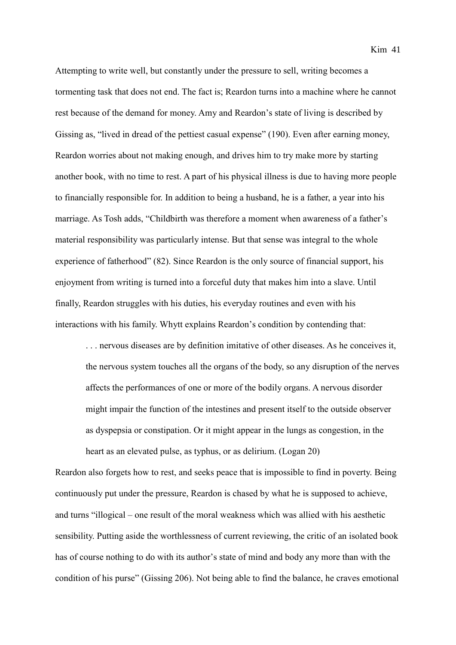Kim 41

Attempting to write well, but constantly under the pressure to sell, writing becomes a tormenting task that does not end. The fact is; Reardon turns into a machine where he cannot rest because of the demand for money. Amy and Reardon's state of living is described by Gissing as, "lived in dread of the pettiest casual expense" (190). Even after earning money, Reardon worries about not making enough, and drives him to try make more by starting another book, with no time to rest. A part of his physical illness is due to having more people to financially responsible for. In addition to being a husband, he is a father, a year into his marriage. As Tosh adds, "Childbirth was therefore a moment when awareness of a father's material responsibility was particularly intense. But that sense was integral to the whole experience of fatherhood" (82). Since Reardon is the only source of financial support, his enjoyment from writing is turned into a forceful duty that makes him into a slave. Until finally, Reardon struggles with his duties, his everyday routines and even with his interactions with his family. Whytt explains Reardon's condition by contending that:

. . . nervous diseases are by definition imitative of other diseases. As he conceives it, the nervous system touches all the organs of the body, so any disruption of the nerves affects the performances of one or more of the bodily organs. A nervous disorder might impair the function of the intestines and present itself to the outside observer as dyspepsia or constipation. Or it might appear in the lungs as congestion, in the heart as an elevated pulse, as typhus, or as delirium. (Logan 20)

Reardon also forgets how to rest, and seeks peace that is impossible to find in poverty. Being continuously put under the pressure, Reardon is chased by what he is supposed to achieve, and turns "illogical – one result of the moral weakness which was allied with his aesthetic sensibility. Putting aside the worthlessness of current reviewing, the critic of an isolated book has of course nothing to do with its author's state of mind and body any more than with the condition of his purse" (Gissing 206). Not being able to find the balance, he craves emotional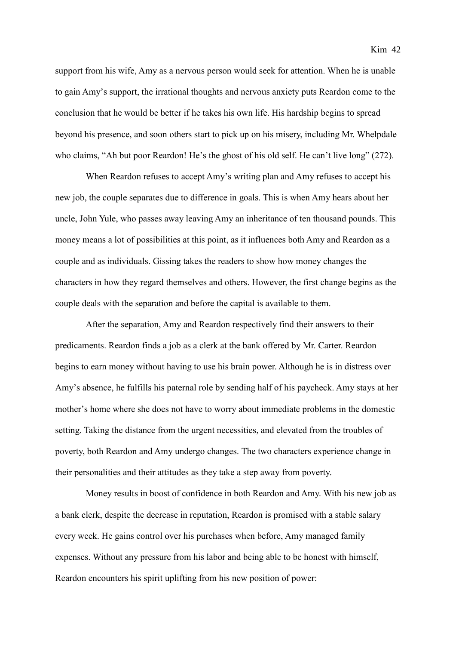support from his wife, Amy as a nervous person would seek for attention. When he is unable to gain Amy's support, the irrational thoughts and nervous anxiety puts Reardon come to the conclusion that he would be better if he takes his own life. His hardship begins to spread beyond his presence, and soon others start to pick up on his misery, including Mr. Whelpdale who claims, "Ah but poor Reardon! He's the ghost of his old self. He can't live long" (272).

When Reardon refuses to accept Amy's writing plan and Amy refuses to accept his new job, the couple separates due to difference in goals. This is when Amy hears about her uncle, John Yule, who passes away leaving Amy an inheritance of ten thousand pounds. This money means a lot of possibilities at this point, as it influences both Amy and Reardon as a couple and as individuals. Gissing takes the readers to show how money changes the characters in how they regard themselves and others. However, the first change begins as the couple deals with the separation and before the capital is available to them.

After the separation, Amy and Reardon respectively find their answers to their predicaments. Reardon finds a job as a clerk at the bank offered by Mr. Carter. Reardon begins to earn money without having to use his brain power. Although he is in distress over Amy's absence, he fulfills his paternal role by sending half of his paycheck. Amy stays at her mother's home where she does not have to worry about immediate problems in the domestic setting. Taking the distance from the urgent necessities, and elevated from the troubles of poverty, both Reardon and Amy undergo changes. The two characters experience change in their personalities and their attitudes as they take a step away from poverty.

Money results in boost of confidence in both Reardon and Amy. With his new job as a bank clerk, despite the decrease in reputation, Reardon is promised with a stable salary every week. He gains control over his purchases when before, Amy managed family expenses. Without any pressure from his labor and being able to be honest with himself, Reardon encounters his spirit uplifting from his new position of power: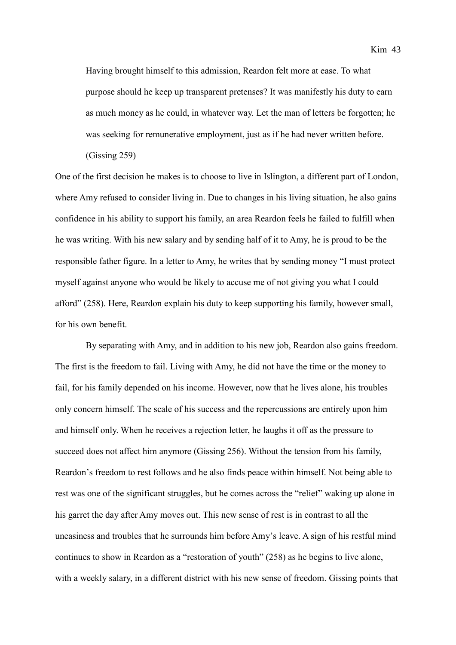Having brought himself to this admission, Reardon felt more at ease. To what purpose should he keep up transparent pretenses? It was manifestly his duty to earn as much money as he could, in whatever way. Let the man of letters be forgotten; he was seeking for remunerative employment, just as if he had never written before.

(Gissing 259)

One of the first decision he makes is to choose to live in Islington, a different part of London, where Amy refused to consider living in. Due to changes in his living situation, he also gains confidence in his ability to support his family, an area Reardon feels he failed to fulfill when he was writing. With his new salary and by sending half of it to Amy, he is proud to be the responsible father figure. In a letter to Amy, he writes that by sending money "I must protect myself against anyone who would be likely to accuse me of not giving you what I could afford" (258). Here, Reardon explain his duty to keep supporting his family, however small, for his own benefit.

By separating with Amy, and in addition to his new job, Reardon also gains freedom. The first is the freedom to fail. Living with Amy, he did not have the time or the money to fail, for his family depended on his income. However, now that he lives alone, his troubles only concern himself. The scale of his success and the repercussions are entirely upon him and himself only. When he receives a rejection letter, he laughs it off as the pressure to succeed does not affect him anymore (Gissing 256). Without the tension from his family, Reardon's freedom to rest follows and he also finds peace within himself. Not being able to rest was one of the significant struggles, but he comes across the "relief" waking up alone in his garret the day after Amy moves out. This new sense of rest is in contrast to all the uneasiness and troubles that he surrounds him before Amy's leave. A sign of his restful mind continues to show in Reardon as a "restoration of youth" (258) as he begins to live alone, with a weekly salary, in a different district with his new sense of freedom. Gissing points that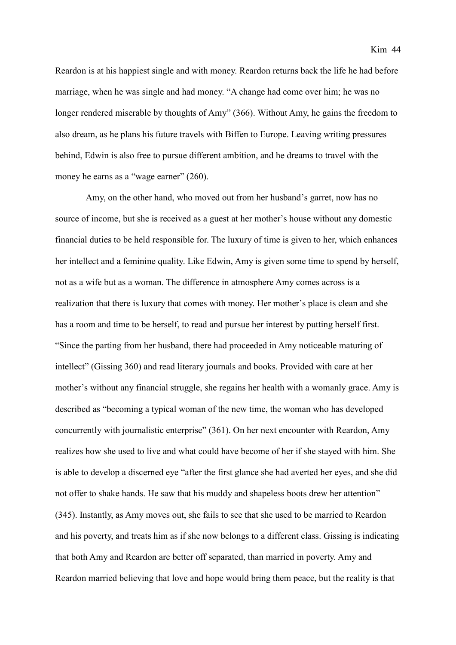Reardon is at his happiest single and with money. Reardon returns back the life he had before marriage, when he was single and had money. "A change had come over him; he was no longer rendered miserable by thoughts of Amy" (366). Without Amy, he gains the freedom to also dream, as he plans his future travels with Biffen to Europe. Leaving writing pressures behind, Edwin is also free to pursue different ambition, and he dreams to travel with the money he earns as a "wage earner" (260).

Amy, on the other hand, who moved out from her husband's garret, now has no source of income, but she is received as a guest at her mother's house without any domestic financial duties to be held responsible for. The luxury of time is given to her, which enhances her intellect and a feminine quality. Like Edwin, Amy is given some time to spend by herself, not as a wife but as a woman. The difference in atmosphere Amy comes across is a realization that there is luxury that comes with money. Her mother's place is clean and she has a room and time to be herself, to read and pursue her interest by putting herself first. "Since the parting from her husband, there had proceeded in Amy noticeable maturing of intellect" (Gissing 360) and read literary journals and books. Provided with care at her mother's without any financial struggle, she regains her health with a womanly grace. Amy is described as "becoming a typical woman of the new time, the woman who has developed concurrently with journalistic enterprise" (361). On her next encounter with Reardon, Amy realizes how she used to live and what could have become of her if she stayed with him. She is able to develop a discerned eye "after the first glance she had averted her eyes, and she did not offer to shake hands. He saw that his muddy and shapeless boots drew her attention" (345). Instantly, as Amy moves out, she fails to see that she used to be married to Reardon and his poverty, and treats him as if she now belongs to a different class. Gissing is indicating that both Amy and Reardon are better off separated, than married in poverty. Amy and Reardon married believing that love and hope would bring them peace, but the reality is that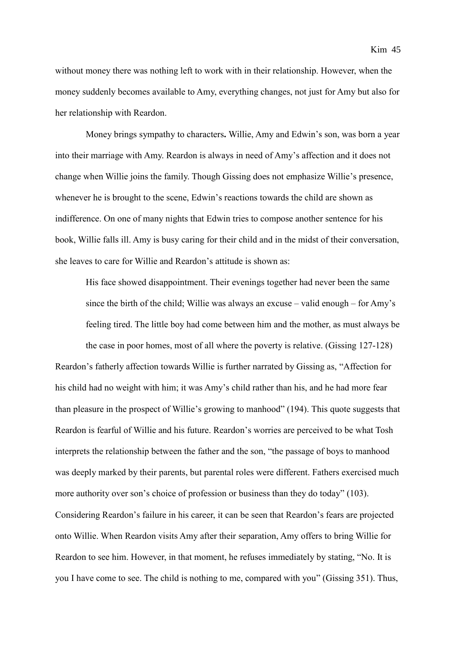without money there was nothing left to work with in their relationship. However, when the money suddenly becomes available to Amy, everything changes, not just for Amy but also for her relationship with Reardon.

Money brings sympathy to characters**.** Willie, Amy and Edwin's son, was born a year into their marriage with Amy. Reardon is always in need of Amy's affection and it does not change when Willie joins the family. Though Gissing does not emphasize Willie's presence, whenever he is brought to the scene, Edwin's reactions towards the child are shown as indifference. On one of many nights that Edwin tries to compose another sentence for his book, Willie falls ill. Amy is busy caring for their child and in the midst of their conversation, she leaves to care for Willie and Reardon's attitude is shown as:

His face showed disappointment. Their evenings together had never been the same since the birth of the child; Willie was always an excuse – valid enough – for Amy's feeling tired. The little boy had come between him and the mother, as must always be the case in poor homes, most of all where the poverty is relative. (Gissing 127-128)

Reardon's fatherly affection towards Willie is further narrated by Gissing as, "Affection for his child had no weight with him; it was Amy's child rather than his, and he had more fear than pleasure in the prospect of Willie's growing to manhood" (194). This quote suggests that Reardon is fearful of Willie and his future. Reardon's worries are perceived to be what Tosh interprets the relationship between the father and the son, "the passage of boys to manhood was deeply marked by their parents, but parental roles were different. Fathers exercised much more authority over son's choice of profession or business than they do today" (103). Considering Reardon's failure in his career, it can be seen that Reardon's fears are projected onto Willie. When Reardon visits Amy after their separation, Amy offers to bring Willie for Reardon to see him. However, in that moment, he refuses immediately by stating, "No. It is you I have come to see. The child is nothing to me, compared with you" (Gissing 351). Thus,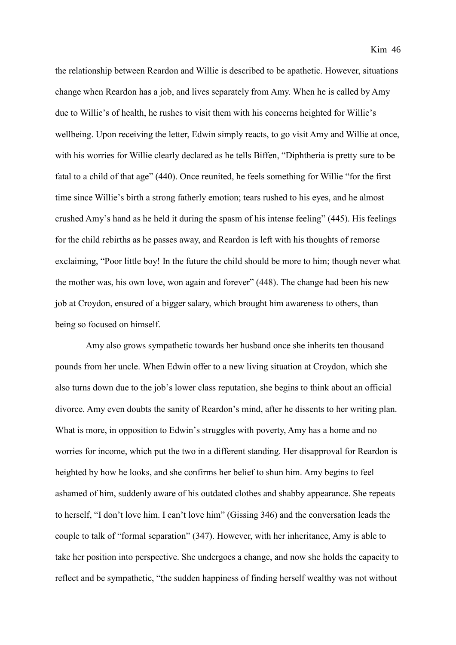the relationship between Reardon and Willie is described to be apathetic. However, situations change when Reardon has a job, and lives separately from Amy. When he is called by Amy due to Willie's of health, he rushes to visit them with his concerns heighted for Willie's wellbeing. Upon receiving the letter, Edwin simply reacts, to go visit Amy and Willie at once, with his worries for Willie clearly declared as he tells Biffen, "Diphtheria is pretty sure to be fatal to a child of that age" (440). Once reunited, he feels something for Willie "for the first time since Willie's birth a strong fatherly emotion; tears rushed to his eyes, and he almost crushed Amy's hand as he held it during the spasm of his intense feeling" (445). His feelings for the child rebirths as he passes away, and Reardon is left with his thoughts of remorse exclaiming, "Poor little boy! In the future the child should be more to him; though never what the mother was, his own love, won again and forever" (448). The change had been his new job at Croydon, ensured of a bigger salary, which brought him awareness to others, than being so focused on himself.

Amy also grows sympathetic towards her husband once she inherits ten thousand pounds from her uncle. When Edwin offer to a new living situation at Croydon, which she also turns down due to the job's lower class reputation, she begins to think about an official divorce. Amy even doubts the sanity of Reardon's mind, after he dissents to her writing plan. What is more, in opposition to Edwin's struggles with poverty, Amy has a home and no worries for income, which put the two in a different standing. Her disapproval for Reardon is heighted by how he looks, and she confirms her belief to shun him. Amy begins to feel ashamed of him, suddenly aware of his outdated clothes and shabby appearance. She repeats to herself, "I don't love him. I can't love him" (Gissing 346) and the conversation leads the couple to talk of "formal separation" (347). However, with her inheritance, Amy is able to take her position into perspective. She undergoes a change, and now she holds the capacity to reflect and be sympathetic, "the sudden happiness of finding herself wealthy was not without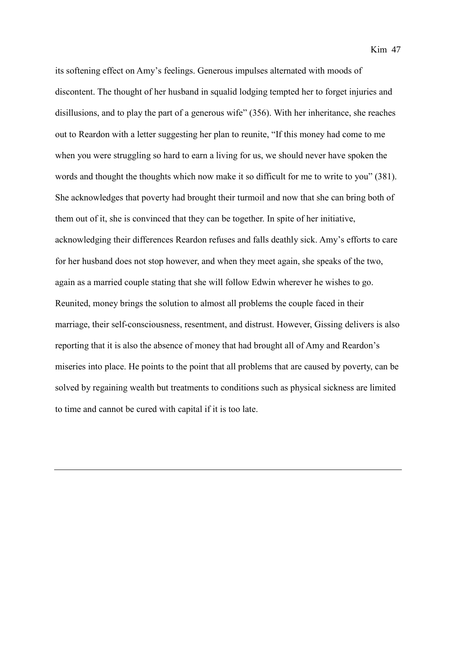its softening effect on Amy's feelings. Generous impulses alternated with moods of discontent. The thought of her husband in squalid lodging tempted her to forget injuries and disillusions, and to play the part of a generous wife" (356). With her inheritance, she reaches out to Reardon with a letter suggesting her plan to reunite, "If this money had come to me when you were struggling so hard to earn a living for us, we should never have spoken the words and thought the thoughts which now make it so difficult for me to write to you" (381). She acknowledges that poverty had brought their turmoil and now that she can bring both of them out of it, she is convinced that they can be together. In spite of her initiative, acknowledging their differences Reardon refuses and falls deathly sick. Amy's efforts to care for her husband does not stop however, and when they meet again, she speaks of the two, again as a married couple stating that she will follow Edwin wherever he wishes to go. Reunited, money brings the solution to almost all problems the couple faced in their marriage, their self-consciousness, resentment, and distrust. However, Gissing delivers is also reporting that it is also the absence of money that had brought all of Amy and Reardon's miseries into place. He points to the point that all problems that are caused by poverty, can be solved by regaining wealth but treatments to conditions such as physical sickness are limited to time and cannot be cured with capital if it is too late.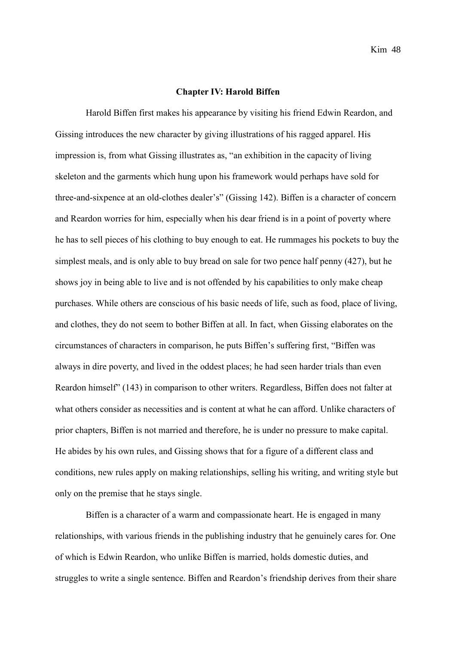## **Chapter IV: Harold Biffen**

Harold Biffen first makes his appearance by visiting his friend Edwin Reardon, and Gissing introduces the new character by giving illustrations of his ragged apparel. His impression is, from what Gissing illustrates as, "an exhibition in the capacity of living skeleton and the garments which hung upon his framework would perhaps have sold for three-and-sixpence at an old-clothes dealer's" (Gissing 142). Biffen is a character of concern and Reardon worries for him, especially when his dear friend is in a point of poverty where he has to sell pieces of his clothing to buy enough to eat. He rummages his pockets to buy the simplest meals, and is only able to buy bread on sale for two pence half penny (427), but he shows joy in being able to live and is not offended by his capabilities to only make cheap purchases. While others are conscious of his basic needs of life, such as food, place of living, and clothes, they do not seem to bother Biffen at all. In fact, when Gissing elaborates on the circumstances of characters in comparison, he puts Biffen's suffering first, "Biffen was always in dire poverty, and lived in the oddest places; he had seen harder trials than even Reardon himself" (143) in comparison to other writers. Regardless, Biffen does not falter at what others consider as necessities and is content at what he can afford. Unlike characters of prior chapters, Biffen is not married and therefore, he is under no pressure to make capital. He abides by his own rules, and Gissing shows that for a figure of a different class and conditions, new rules apply on making relationships, selling his writing, and writing style but only on the premise that he stays single.

Biffen is a character of a warm and compassionate heart. He is engaged in many relationships, with various friends in the publishing industry that he genuinely cares for. One of which is Edwin Reardon, who unlike Biffen is married, holds domestic duties, and struggles to write a single sentence. Biffen and Reardon's friendship derives from their share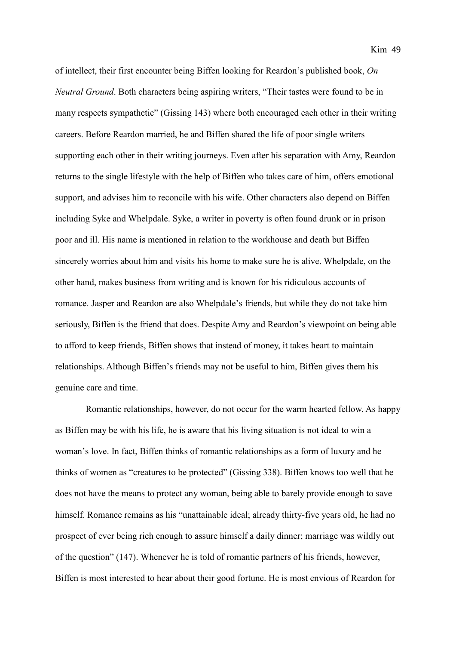of intellect, their first encounter being Biffen looking for Reardon's published book, *On Neutral Ground*. Both characters being aspiring writers, "Their tastes were found to be in many respects sympathetic" (Gissing 143) where both encouraged each other in their writing careers. Before Reardon married, he and Biffen shared the life of poor single writers supporting each other in their writing journeys. Even after his separation with Amy, Reardon returns to the single lifestyle with the help of Biffen who takes care of him, offers emotional support, and advises him to reconcile with his wife. Other characters also depend on Biffen including Syke and Whelpdale. Syke, a writer in poverty is often found drunk or in prison poor and ill. His name is mentioned in relation to the workhouse and death but Biffen sincerely worries about him and visits his home to make sure he is alive. Whelpdale, on the other hand, makes business from writing and is known for his ridiculous accounts of romance. Jasper and Reardon are also Whelpdale's friends, but while they do not take him seriously, Biffen is the friend that does. Despite Amy and Reardon's viewpoint on being able to afford to keep friends, Biffen shows that instead of money, it takes heart to maintain relationships. Although Biffen's friends may not be useful to him, Biffen gives them his genuine care and time.

Romantic relationships, however, do not occur for the warm hearted fellow. As happy as Biffen may be with his life, he is aware that his living situation is not ideal to win a woman's love. In fact, Biffen thinks of romantic relationships as a form of luxury and he thinks of women as "creatures to be protected" (Gissing 338). Biffen knows too well that he does not have the means to protect any woman, being able to barely provide enough to save himself. Romance remains as his "unattainable ideal; already thirty-five years old, he had no prospect of ever being rich enough to assure himself a daily dinner; marriage was wildly out of the question" (147). Whenever he is told of romantic partners of his friends, however, Biffen is most interested to hear about their good fortune. He is most envious of Reardon for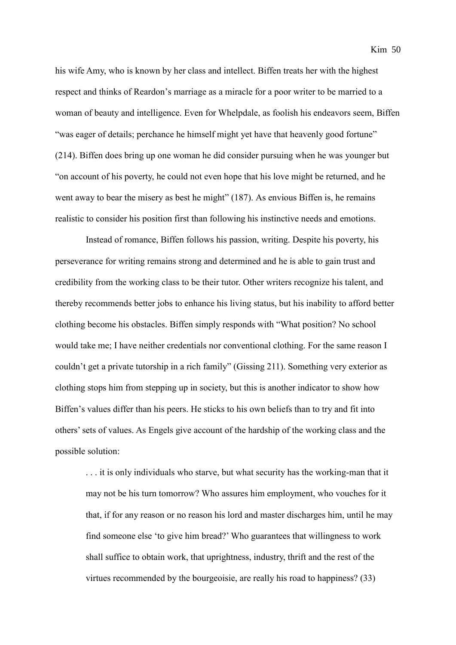his wife Amy, who is known by her class and intellect. Biffen treats her with the highest respect and thinks of Reardon's marriage as a miracle for a poor writer to be married to a woman of beauty and intelligence. Even for Whelpdale, as foolish his endeavors seem, Biffen "was eager of details; perchance he himself might yet have that heavenly good fortune" (214). Biffen does bring up one woman he did consider pursuing when he was younger but "on account of his poverty, he could not even hope that his love might be returned, and he went away to bear the misery as best he might" (187). As envious Biffen is, he remains realistic to consider his position first than following his instinctive needs and emotions.

Instead of romance, Biffen follows his passion, writing. Despite his poverty, his perseverance for writing remains strong and determined and he is able to gain trust and credibility from the working class to be their tutor. Other writers recognize his talent, and thereby recommends better jobs to enhance his living status, but his inability to afford better clothing become his obstacles. Biffen simply responds with "What position? No school would take me; I have neither credentials nor conventional clothing. For the same reason I couldn't get a private tutorship in a rich family" (Gissing 211). Something very exterior as clothing stops him from stepping up in society, but this is another indicator to show how Biffen's values differ than his peers. He sticks to his own beliefs than to try and fit into others' sets of values. As Engels give account of the hardship of the working class and the possible solution:

. . . it is only individuals who starve, but what security has the working-man that it may not be his turn tomorrow? Who assures him employment, who vouches for it that, if for any reason or no reason his lord and master discharges him, until he may find someone else 'to give him bread?' Who guarantees that willingness to work shall suffice to obtain work, that uprightness, industry, thrift and the rest of the virtues recommended by the bourgeoisie, are really his road to happiness? (33)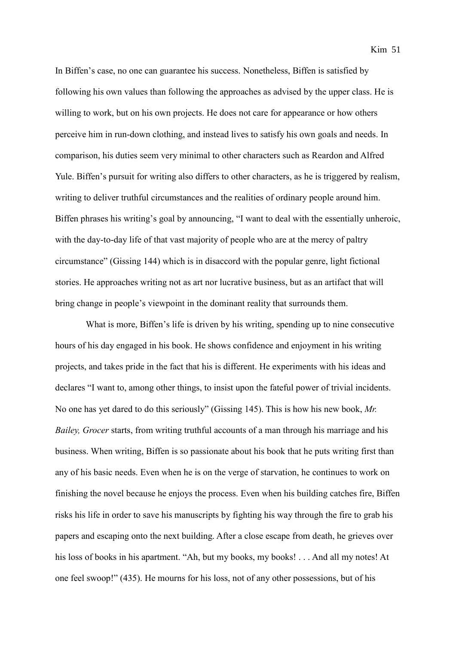In Biffen's case, no one can guarantee his success. Nonetheless, Biffen is satisfied by following his own values than following the approaches as advised by the upper class. He is willing to work, but on his own projects. He does not care for appearance or how others perceive him in run-down clothing, and instead lives to satisfy his own goals and needs. In comparison, his duties seem very minimal to other characters such as Reardon and Alfred Yule. Biffen's pursuit for writing also differs to other characters, as he is triggered by realism, writing to deliver truthful circumstances and the realities of ordinary people around him. Biffen phrases his writing's goal by announcing, "I want to deal with the essentially unheroic, with the day-to-day life of that vast majority of people who are at the mercy of paltry circumstance" (Gissing 144) which is in disaccord with the popular genre, light fictional stories. He approaches writing not as art nor lucrative business, but as an artifact that will bring change in people's viewpoint in the dominant reality that surrounds them.

What is more, Biffen's life is driven by his writing, spending up to nine consecutive hours of his day engaged in his book. He shows confidence and enjoyment in his writing projects, and takes pride in the fact that his is different. He experiments with his ideas and declares "I want to, among other things, to insist upon the fateful power of trivial incidents. No one has yet dared to do this seriously" (Gissing 145). This is how his new book, *Mr. Bailey, Grocer* starts, from writing truthful accounts of a man through his marriage and his business. When writing, Biffen is so passionate about his book that he puts writing first than any of his basic needs. Even when he is on the verge of starvation, he continues to work on finishing the novel because he enjoys the process. Even when his building catches fire, Biffen risks his life in order to save his manuscripts by fighting his way through the fire to grab his papers and escaping onto the next building. After a close escape from death, he grieves over his loss of books in his apartment. "Ah, but my books, my books! . . . And all my notes! At one feel swoop!" (435). He mourns for his loss, not of any other possessions, but of his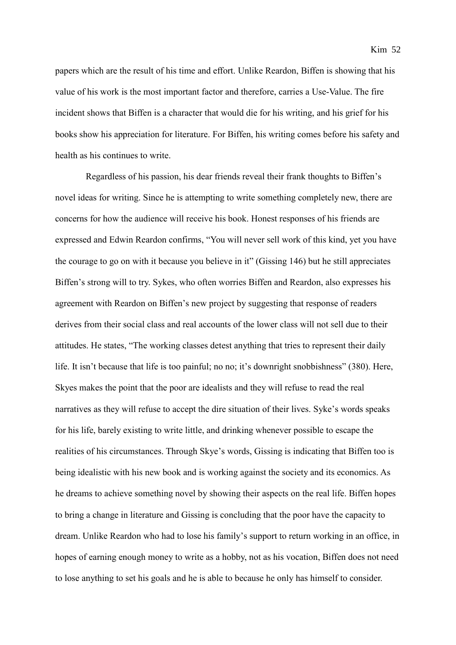papers which are the result of his time and effort. Unlike Reardon, Biffen is showing that his value of his work is the most important factor and therefore, carries a Use-Value. The fire incident shows that Biffen is a character that would die for his writing, and his grief for his books show his appreciation for literature. For Biffen, his writing comes before his safety and health as his continues to write.

Regardless of his passion, his dear friends reveal their frank thoughts to Biffen's novel ideas for writing. Since he is attempting to write something completely new, there are concerns for how the audience will receive his book. Honest responses of his friends are expressed and Edwin Reardon confirms, "You will never sell work of this kind, yet you have the courage to go on with it because you believe in it" (Gissing 146) but he still appreciates Biffen's strong will to try. Sykes, who often worries Biffen and Reardon, also expresses his agreement with Reardon on Biffen's new project by suggesting that response of readers derives from their social class and real accounts of the lower class will not sell due to their attitudes. He states, "The working classes detest anything that tries to represent their daily life. It isn't because that life is too painful; no no; it's downright snobbishness" (380). Here, Skyes makes the point that the poor are idealists and they will refuse to read the real narratives as they will refuse to accept the dire situation of their lives. Syke's words speaks for his life, barely existing to write little, and drinking whenever possible to escape the realities of his circumstances. Through Skye's words, Gissing is indicating that Biffen too is being idealistic with his new book and is working against the society and its economics. As he dreams to achieve something novel by showing their aspects on the real life. Biffen hopes to bring a change in literature and Gissing is concluding that the poor have the capacity to dream. Unlike Reardon who had to lose his family's support to return working in an office, in hopes of earning enough money to write as a hobby, not as his vocation, Biffen does not need to lose anything to set his goals and he is able to because he only has himself to consider.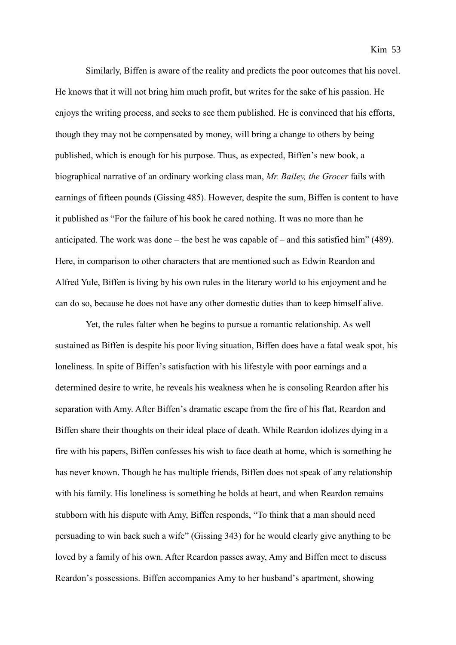Similarly, Biffen is aware of the reality and predicts the poor outcomes that his novel. He knows that it will not bring him much profit, but writes for the sake of his passion. He enjoys the writing process, and seeks to see them published. He is convinced that his efforts, though they may not be compensated by money, will bring a change to others by being published, which is enough for his purpose. Thus, as expected, Biffen's new book, a biographical narrative of an ordinary working class man, *Mr. Bailey, the Grocer* fails with earnings of fifteen pounds (Gissing 485). However, despite the sum, Biffen is content to have it published as "For the failure of his book he cared nothing. It was no more than he anticipated. The work was done – the best he was capable of – and this satisfied him" (489). Here, in comparison to other characters that are mentioned such as Edwin Reardon and Alfred Yule, Biffen is living by his own rules in the literary world to his enjoyment and he can do so, because he does not have any other domestic duties than to keep himself alive.

Yet, the rules falter when he begins to pursue a romantic relationship. As well sustained as Biffen is despite his poor living situation, Biffen does have a fatal weak spot, his loneliness. In spite of Biffen's satisfaction with his lifestyle with poor earnings and a determined desire to write, he reveals his weakness when he is consoling Reardon after his separation with Amy. After Biffen's dramatic escape from the fire of his flat, Reardon and Biffen share their thoughts on their ideal place of death. While Reardon idolizes dying in a fire with his papers, Biffen confesses his wish to face death at home, which is something he has never known. Though he has multiple friends, Biffen does not speak of any relationship with his family. His loneliness is something he holds at heart, and when Reardon remains stubborn with his dispute with Amy, Biffen responds, "To think that a man should need persuading to win back such a wife" (Gissing 343) for he would clearly give anything to be loved by a family of his own. After Reardon passes away, Amy and Biffen meet to discuss Reardon's possessions. Biffen accompanies Amy to her husband's apartment, showing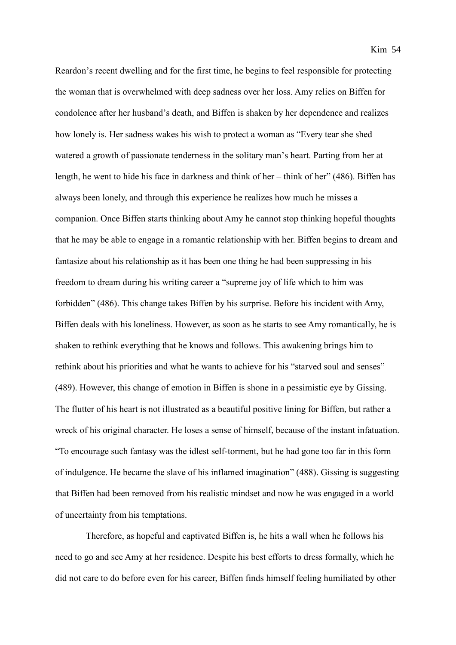Reardon's recent dwelling and for the first time, he begins to feel responsible for protecting the woman that is overwhelmed with deep sadness over her loss. Amy relies on Biffen for condolence after her husband's death, and Biffen is shaken by her dependence and realizes how lonely is. Her sadness wakes his wish to protect a woman as "Every tear she shed watered a growth of passionate tenderness in the solitary man's heart. Parting from her at length, he went to hide his face in darkness and think of her – think of her" (486). Biffen has always been lonely, and through this experience he realizes how much he misses a companion. Once Biffen starts thinking about Amy he cannot stop thinking hopeful thoughts that he may be able to engage in a romantic relationship with her. Biffen begins to dream and fantasize about his relationship as it has been one thing he had been suppressing in his freedom to dream during his writing career a "supreme joy of life which to him was forbidden" (486). This change takes Biffen by his surprise. Before his incident with Amy, Biffen deals with his loneliness. However, as soon as he starts to see Amy romantically, he is shaken to rethink everything that he knows and follows. This awakening brings him to rethink about his priorities and what he wants to achieve for his "starved soul and senses" (489). However, this change of emotion in Biffen is shone in a pessimistic eye by Gissing. The flutter of his heart is not illustrated as a beautiful positive lining for Biffen, but rather a wreck of his original character. He loses a sense of himself, because of the instant infatuation. "To encourage such fantasy was the idlest self-torment, but he had gone too far in this form of indulgence. He became the slave of his inflamed imagination" (488). Gissing is suggesting that Biffen had been removed from his realistic mindset and now he was engaged in a world of uncertainty from his temptations.

Therefore, as hopeful and captivated Biffen is, he hits a wall when he follows his need to go and see Amy at her residence. Despite his best efforts to dress formally, which he did not care to do before even for his career, Biffen finds himself feeling humiliated by other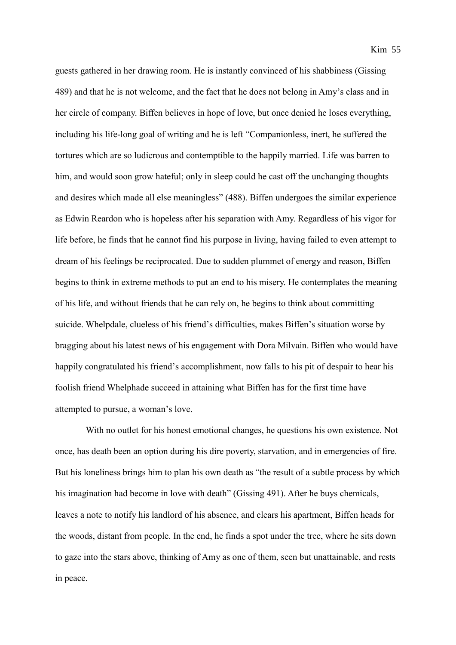guests gathered in her drawing room. He is instantly convinced of his shabbiness (Gissing 489) and that he is not welcome, and the fact that he does not belong in Amy's class and in her circle of company. Biffen believes in hope of love, but once denied he loses everything, including his life-long goal of writing and he is left "Companionless, inert, he suffered the tortures which are so ludicrous and contemptible to the happily married. Life was barren to him, and would soon grow hateful; only in sleep could he cast off the unchanging thoughts and desires which made all else meaningless" (488). Biffen undergoes the similar experience as Edwin Reardon who is hopeless after his separation with Amy. Regardless of his vigor for life before, he finds that he cannot find his purpose in living, having failed to even attempt to dream of his feelings be reciprocated. Due to sudden plummet of energy and reason, Biffen begins to think in extreme methods to put an end to his misery. He contemplates the meaning of his life, and without friends that he can rely on, he begins to think about committing suicide. Whelpdale, clueless of his friend's difficulties, makes Biffen's situation worse by bragging about his latest news of his engagement with Dora Milvain. Biffen who would have happily congratulated his friend's accomplishment, now falls to his pit of despair to hear his foolish friend Whelphade succeed in attaining what Biffen has for the first time have attempted to pursue, a woman's love.

With no outlet for his honest emotional changes, he questions his own existence. Not once, has death been an option during his dire poverty, starvation, and in emergencies of fire. But his loneliness brings him to plan his own death as "the result of a subtle process by which his imagination had become in love with death" (Gissing 491). After he buys chemicals, leaves a note to notify his landlord of his absence, and clears his apartment, Biffen heads for the woods, distant from people. In the end, he finds a spot under the tree, where he sits down to gaze into the stars above, thinking of Amy as one of them, seen but unattainable, and rests in peace.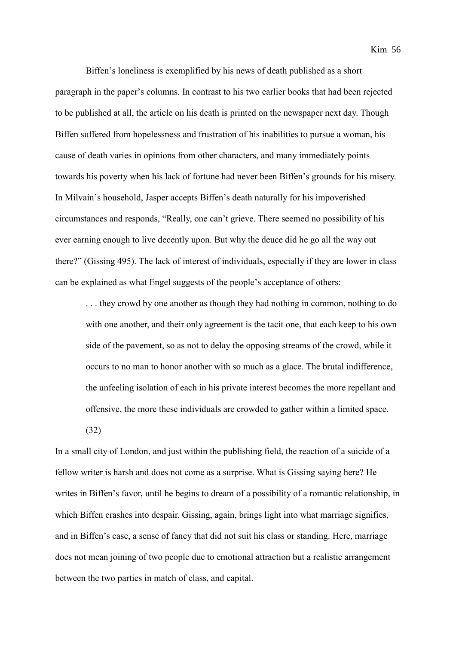Kim 56

Biffen's loneliness is exemplified by his news of death published as a short paragraph in the paper's columns. In contrast to his two earlier books that had been rejected to be published at all, the article on his death is printed on the newspaper next day. Though Biffen suffered from hopelessness and frustration of his inabilities to pursue a woman, his cause of death varies in opinions from other characters, and many immediately points towards his poverty when his lack of fortune had never been Biffen's grounds for his misery. In Milvain's household, Jasper accepts Biffen's death naturally for his impoverished circumstances and responds, "Really, one can't grieve. There seemed no possibility of his ever earning enough to live decently upon. But why the deuce did he go all the way out there?" (Gissing 495). The lack of interest of individuals, especially if they are lower in class can be explained as what Engel suggests of the people's acceptance of others:

. . . they crowd by one another as though they had nothing in common, nothing to do with one another, and their only agreement is the tacit one, that each keep to his own side of the pavement, so as not to delay the opposing streams of the crowd, while it occurs to no man to honor another with so much as a glace. The brutal indifference, the unfeeling isolation of each in his private interest becomes the more repellant and offensive, the more these individuals are crowded to gather within a limited space.

(32)

In a small city of London, and just within the publishing field, the reaction of a suicide of a fellow writer is harsh and does not come as a surprise. What is Gissing saying here? He writes in Biffen's favor, until he begins to dream of a possibility of a romantic relationship, in which Biffen crashes into despair. Gissing, again, brings light into what marriage signifies, and in Biffen's case, a sense of fancy that did not suit his class or standing. Here, marriage does not mean joining of two people due to emotional attraction but a realistic arrangement between the two parties in match of class, and capital.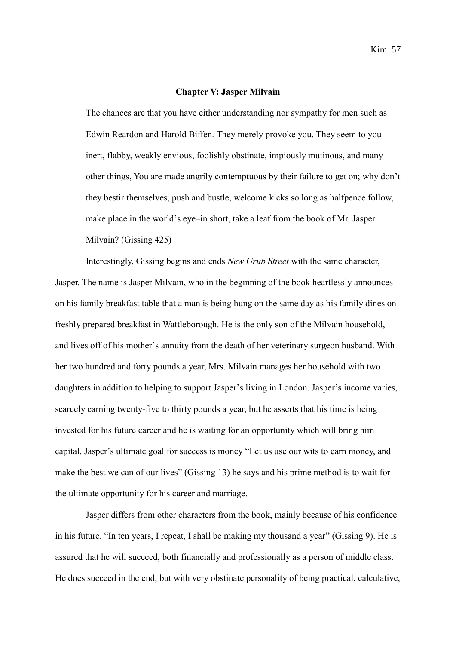## **Chapter V: Jasper Milvain**

The chances are that you have either understanding nor sympathy for men such as Edwin Reardon and Harold Biffen. They merely provoke you. They seem to you inert, flabby, weakly envious, foolishly obstinate, impiously mutinous, and many other things, You are made angrily contemptuous by their failure to get on; why don't they bestir themselves, push and bustle, welcome kicks so long as halfpence follow, make place in the world's eye–in short, take a leaf from the book of Mr. Jasper Milvain? (Gissing 425)

Interestingly, Gissing begins and ends *New Grub Street* with the same character, Jasper. The name is Jasper Milvain, who in the beginning of the book heartlessly announces on his family breakfast table that a man is being hung on the same day as his family dines on freshly prepared breakfast in Wattleborough. He is the only son of the Milvain household, and lives off of his mother's annuity from the death of her veterinary surgeon husband. With her two hundred and forty pounds a year, Mrs. Milvain manages her household with two daughters in addition to helping to support Jasper's living in London. Jasper's income varies, scarcely earning twenty-five to thirty pounds a year, but he asserts that his time is being invested for his future career and he is waiting for an opportunity which will bring him capital. Jasper's ultimate goal for success is money "Let us use our wits to earn money, and make the best we can of our lives" (Gissing 13) he says and his prime method is to wait for the ultimate opportunity for his career and marriage.

Jasper differs from other characters from the book, mainly because of his confidence in his future. "In ten years, I repeat, I shall be making my thousand a year" (Gissing 9). He is assured that he will succeed, both financially and professionally as a person of middle class. He does succeed in the end, but with very obstinate personality of being practical, calculative,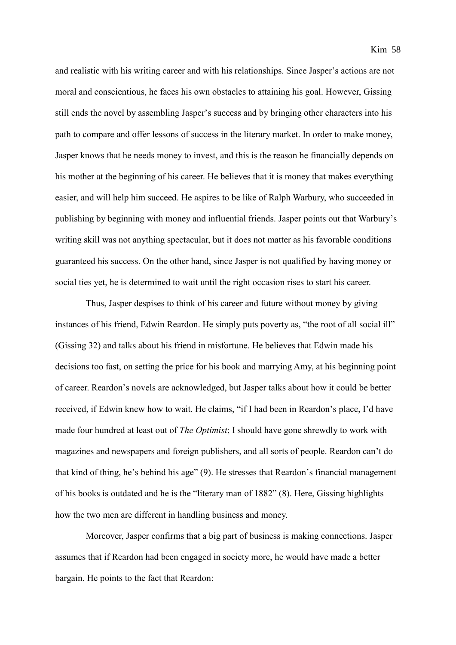and realistic with his writing career and with his relationships. Since Jasper's actions are not moral and conscientious, he faces his own obstacles to attaining his goal. However, Gissing still ends the novel by assembling Jasper's success and by bringing other characters into his path to compare and offer lessons of success in the literary market. In order to make money, Jasper knows that he needs money to invest, and this is the reason he financially depends on his mother at the beginning of his career. He believes that it is money that makes everything easier, and will help him succeed. He aspires to be like of Ralph Warbury, who succeeded in publishing by beginning with money and influential friends. Jasper points out that Warbury's writing skill was not anything spectacular, but it does not matter as his favorable conditions guaranteed his success. On the other hand, since Jasper is not qualified by having money or social ties yet, he is determined to wait until the right occasion rises to start his career.

Thus, Jasper despises to think of his career and future without money by giving instances of his friend, Edwin Reardon. He simply puts poverty as, "the root of all social ill" (Gissing 32) and talks about his friend in misfortune. He believes that Edwin made his decisions too fast, on setting the price for his book and marrying Amy, at his beginning point of career. Reardon's novels are acknowledged, but Jasper talks about how it could be better received, if Edwin knew how to wait. He claims, "if I had been in Reardon's place, I'd have made four hundred at least out of *The Optimist*; I should have gone shrewdly to work with magazines and newspapers and foreign publishers, and all sorts of people. Reardon can't do that kind of thing, he's behind his age" (9). He stresses that Reardon's financial management of his books is outdated and he is the "literary man of 1882" (8). Here, Gissing highlights how the two men are different in handling business and money.

Moreover, Jasper confirms that a big part of business is making connections. Jasper assumes that if Reardon had been engaged in society more, he would have made a better bargain. He points to the fact that Reardon: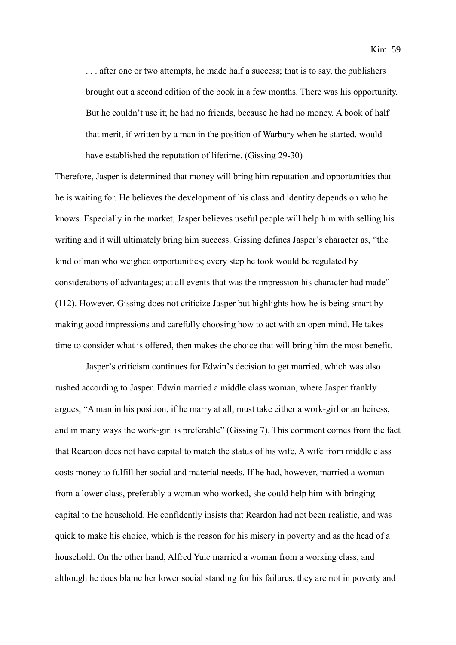... after one or two attempts, he made half a success; that is to say, the publishers brought out a second edition of the book in a few months. There was his opportunity. But he couldn't use it; he had no friends, because he had no money. A book of half that merit, if written by a man in the position of Warbury when he started, would have established the reputation of lifetime. (Gissing 29-30)

Therefore, Jasper is determined that money will bring him reputation and opportunities that he is waiting for. He believes the development of his class and identity depends on who he knows. Especially in the market, Jasper believes useful people will help him with selling his writing and it will ultimately bring him success. Gissing defines Jasper's character as, "the kind of man who weighed opportunities; every step he took would be regulated by considerations of advantages; at all events that was the impression his character had made" (112). However, Gissing does not criticize Jasper but highlights how he is being smart by making good impressions and carefully choosing how to act with an open mind. He takes time to consider what is offered, then makes the choice that will bring him the most benefit.

Jasper's criticism continues for Edwin's decision to get married, which was also rushed according to Jasper. Edwin married a middle class woman, where Jasper frankly argues, "A man in his position, if he marry at all, must take either a work-girl or an heiress, and in many ways the work-girl is preferable" (Gissing 7). This comment comes from the fact that Reardon does not have capital to match the status of his wife. A wife from middle class costs money to fulfill her social and material needs. If he had, however, married a woman from a lower class, preferably a woman who worked, she could help him with bringing capital to the household. He confidently insists that Reardon had not been realistic, and was quick to make his choice, which is the reason for his misery in poverty and as the head of a household. On the other hand, Alfred Yule married a woman from a working class, and although he does blame her lower social standing for his failures, they are not in poverty and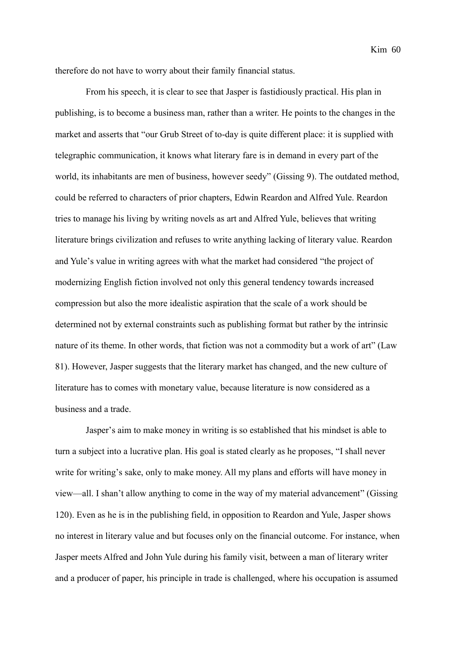therefore do not have to worry about their family financial status.

From his speech, it is clear to see that Jasper is fastidiously practical. His plan in publishing, is to become a business man, rather than a writer. He points to the changes in the market and asserts that "our Grub Street of to-day is quite different place: it is supplied with telegraphic communication, it knows what literary fare is in demand in every part of the world, its inhabitants are men of business, however seedy" (Gissing 9). The outdated method, could be referred to characters of prior chapters, Edwin Reardon and Alfred Yule. Reardon tries to manage his living by writing novels as art and Alfred Yule, believes that writing literature brings civilization and refuses to write anything lacking of literary value. Reardon and Yule's value in writing agrees with what the market had considered "the project of modernizing English fiction involved not only this general tendency towards increased compression but also the more idealistic aspiration that the scale of a work should be determined not by external constraints such as publishing format but rather by the intrinsic nature of its theme. In other words, that fiction was not a commodity but a work of art" (Law 81). However, Jasper suggests that the literary market has changed, and the new culture of literature has to comes with monetary value, because literature is now considered as a business and a trade.

Jasper's aim to make money in writing is so established that his mindset is able to turn a subject into a lucrative plan. His goal is stated clearly as he proposes, "I shall never write for writing's sake, only to make money. All my plans and efforts will have money in view—all. I shan't allow anything to come in the way of my material advancement" (Gissing 120). Even as he is in the publishing field, in opposition to Reardon and Yule, Jasper shows no interest in literary value and but focuses only on the financial outcome. For instance, when Jasper meets Alfred and John Yule during his family visit, between a man of literary writer and a producer of paper, his principle in trade is challenged, where his occupation is assumed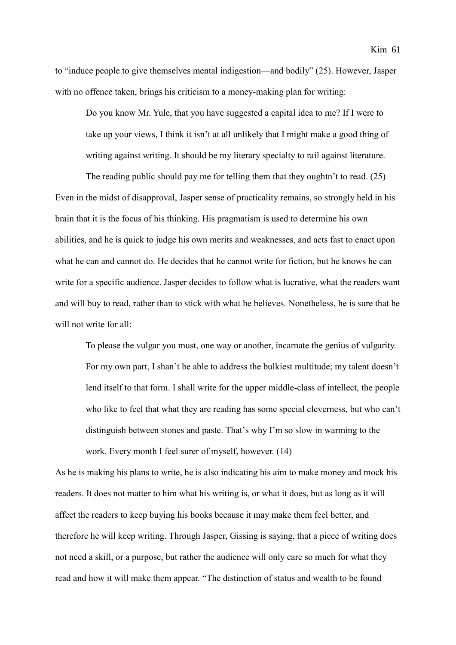to "induce people to give themselves mental indigestion—and bodily" (25). However, Jasper with no offence taken, brings his criticism to a money-making plan for writing:

Do you know Mr. Yule, that you have suggested a capital idea to me? If I were to take up your views, I think it isn't at all unlikely that I might make a good thing of writing against writing. It should be my literary specialty to rail against literature.

The reading public should pay me for telling them that they oughtn't to read. (25) Even in the midst of disapproval, Jasper sense of practicality remains, so strongly held in his brain that it is the focus of his thinking. His pragmatism is used to determine his own abilities, and he is quick to judge his own merits and weaknesses, and acts fast to enact upon what he can and cannot do. He decides that he cannot write for fiction, but he knows he can write for a specific audience. Jasper decides to follow what is lucrative, what the readers want and will buy to read, rather than to stick with what he believes. Nonetheless, he is sure that he will not write for all:

To please the vulgar you must, one way or another, incarnate the genius of vulgarity. For my own part, I shan't be able to address the bulkiest multitude; my talent doesn't lend itself to that form. I shall write for the upper middle-class of intellect, the people who like to feel that what they are reading has some special cleverness, but who can't distinguish between stones and paste. That's why I'm so slow in warming to the work. Every month I feel surer of myself, however. (14)

As he is making his plans to write, he is also indicating his aim to make money and mock his readers. It does not matter to him what his writing is, or what it does, but as long as it will affect the readers to keep buying his books because it may make them feel better, and therefore he will keep writing. Through Jasper, Gissing is saying, that a piece of writing does not need a skill, or a purpose, but rather the audience will only care so much for what they read and how it will make them appear. "The distinction of status and wealth to be found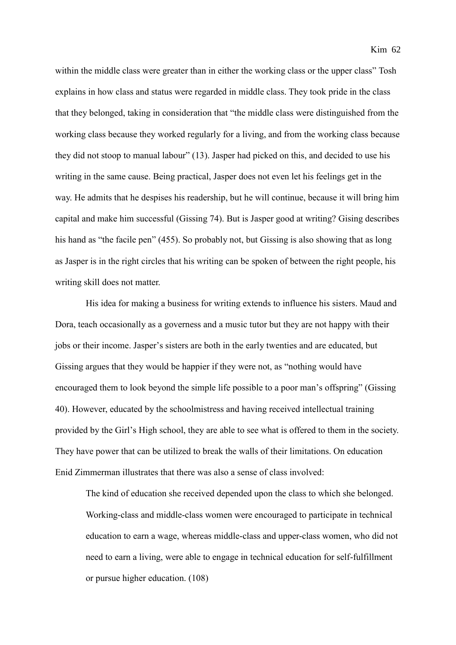within the middle class were greater than in either the working class or the upper class" Tosh explains in how class and status were regarded in middle class. They took pride in the class that they belonged, taking in consideration that "the middle class were distinguished from the working class because they worked regularly for a living, and from the working class because they did not stoop to manual labour" (13). Jasper had picked on this, and decided to use his writing in the same cause. Being practical, Jasper does not even let his feelings get in the way. He admits that he despises his readership, but he will continue, because it will bring him capital and make him successful (Gissing 74). But is Jasper good at writing? Gising describes his hand as "the facile pen" (455). So probably not, but Gissing is also showing that as long as Jasper is in the right circles that his writing can be spoken of between the right people, his writing skill does not matter.

His idea for making a business for writing extends to influence his sisters. Maud and Dora, teach occasionally as a governess and a music tutor but they are not happy with their jobs or their income. Jasper's sisters are both in the early twenties and are educated, but Gissing argues that they would be happier if they were not, as "nothing would have encouraged them to look beyond the simple life possible to a poor man's offspring" (Gissing 40). However, educated by the schoolmistress and having received intellectual training provided by the Girl's High school, they are able to see what is offered to them in the society. They have power that can be utilized to break the walls of their limitations. On education Enid Zimmerman illustrates that there was also a sense of class involved:

The kind of education she received depended upon the class to which she belonged. Working-class and middle-class women were encouraged to participate in technical education to earn a wage, whereas middle-class and upper-class women, who did not need to earn a living, were able to engage in technical education for self-fulfillment or pursue higher education. (108)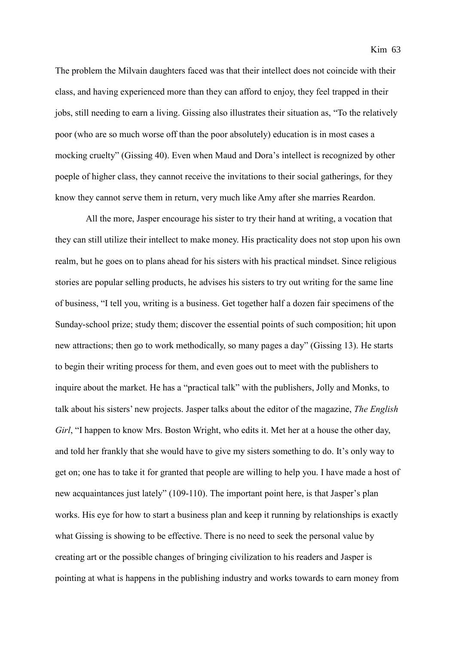The problem the Milvain daughters faced was that their intellect does not coincide with their class, and having experienced more than they can afford to enjoy, they feel trapped in their jobs, still needing to earn a living. Gissing also illustrates their situation as, "To the relatively poor (who are so much worse off than the poor absolutely) education is in most cases a mocking cruelty" (Gissing 40). Even when Maud and Dora's intellect is recognized by other poeple of higher class, they cannot receive the invitations to their social gatherings, for they know they cannot serve them in return, very much like Amy after she marries Reardon.

All the more, Jasper encourage his sister to try their hand at writing, a vocation that they can still utilize their intellect to make money. His practicality does not stop upon his own realm, but he goes on to plans ahead for his sisters with his practical mindset. Since religious stories are popular selling products, he advises his sisters to try out writing for the same line of business, "I tell you, writing is a business. Get together half a dozen fair specimens of the Sunday-school prize; study them; discover the essential points of such composition; hit upon new attractions; then go to work methodically, so many pages a day" (Gissing 13). He starts to begin their writing process for them, and even goes out to meet with the publishers to inquire about the market. He has a "practical talk" with the publishers, Jolly and Monks, to talk about his sisters' new projects. Jasper talks about the editor of the magazine, *The English Girl*, "I happen to know Mrs. Boston Wright, who edits it. Met her at a house the other day, and told her frankly that she would have to give my sisters something to do. It's only way to get on; one has to take it for granted that people are willing to help you. I have made a host of new acquaintances just lately" (109-110). The important point here, is that Jasper's plan works. His eye for how to start a business plan and keep it running by relationships is exactly what Gissing is showing to be effective. There is no need to seek the personal value by creating art or the possible changes of bringing civilization to his readers and Jasper is pointing at what is happens in the publishing industry and works towards to earn money from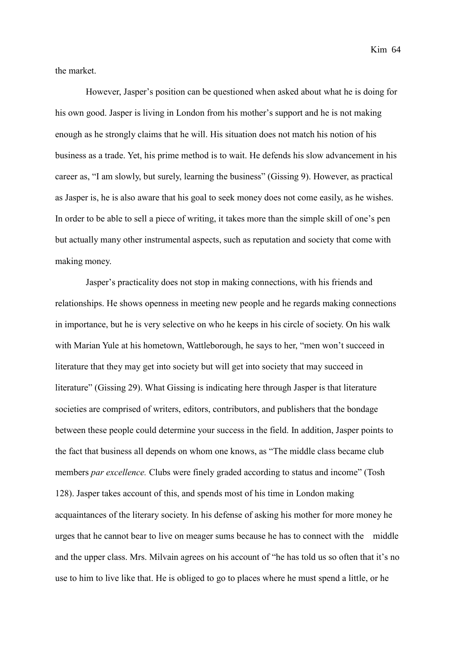Kim 64

the market.

However, Jasper's position can be questioned when asked about what he is doing for his own good. Jasper is living in London from his mother's support and he is not making enough as he strongly claims that he will. His situation does not match his notion of his business as a trade. Yet, his prime method is to wait. He defends his slow advancement in his career as, "I am slowly, but surely, learning the business" (Gissing 9). However, as practical as Jasper is, he is also aware that his goal to seek money does not come easily, as he wishes. In order to be able to sell a piece of writing, it takes more than the simple skill of one's pen but actually many other instrumental aspects, such as reputation and society that come with making money.

Jasper's practicality does not stop in making connections, with his friends and relationships. He shows openness in meeting new people and he regards making connections in importance, but he is very selective on who he keeps in his circle of society. On his walk with Marian Yule at his hometown, Wattleborough, he says to her, "men won't succeed in literature that they may get into society but will get into society that may succeed in literature" (Gissing 29). What Gissing is indicating here through Jasper is that literature societies are comprised of writers, editors, contributors, and publishers that the bondage between these people could determine your success in the field. In addition, Jasper points to the fact that business all depends on whom one knows, as "The middle class became club members *par excellence.* Clubs were finely graded according to status and income" (Tosh 128). Jasper takes account of this, and spends most of his time in London making acquaintances of the literary society. In his defense of asking his mother for more money he urges that he cannot bear to live on meager sums because he has to connect with the middle and the upper class. Mrs. Milvain agrees on his account of "he has told us so often that it's no use to him to live like that. He is obliged to go to places where he must spend a little, or he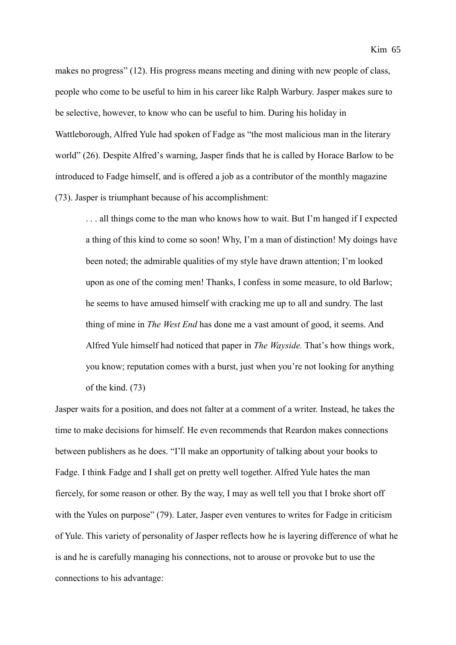makes no progress" (12). His progress means meeting and dining with new people of class, people who come to be useful to him in his career like Ralph Warbury. Jasper makes sure to be selective, however, to know who can be useful to him. During his holiday in Wattleborough, Alfred Yule had spoken of Fadge as "the most malicious man in the literary world" (26). Despite Alfred's warning, Jasper finds that he is called by Horace Barlow to be introduced to Fadge himself, and is offered a job as a contributor of the monthly magazine (73). Jasper is triumphant because of his accomplishment:

. . . all things come to the man who knows how to wait. But I'm hanged if I expected a thing of this kind to come so soon! Why, I'm a man of distinction! My doings have been noted; the admirable qualities of my style have drawn attention; I'm looked upon as one of the coming men! Thanks, I confess in some measure, to old Barlow; he seems to have amused himself with cracking me up to all and sundry. The last thing of mine in *The West End* has done me a vast amount of good, it seems. And Alfred Yule himself had noticed that paper in *The Wayside.* That's how things work, you know; reputation comes with a burst, just when you're not looking for anything of the kind. (73)

Jasper waits for a position, and does not falter at a comment of a writer. Instead, he takes the time to make decisions for himself. He even recommends that Reardon makes connections between publishers as he does. "I'll make an opportunity of talking about your books to Fadge. I think Fadge and I shall get on pretty well together. Alfred Yule hates the man fiercely, for some reason or other. By the way, I may as well tell you that I broke short off with the Yules on purpose" (79). Later, Jasper even ventures to writes for Fadge in criticism of Yule. This variety of personality of Jasper reflects how he is layering difference of what he is and he is carefully managing his connections, not to arouse or provoke but to use the connections to his advantage: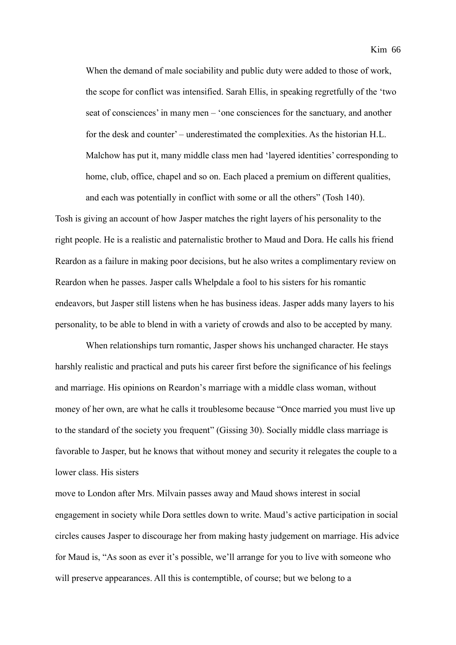When the demand of male sociability and public duty were added to those of work, the scope for conflict was intensified. Sarah Ellis, in speaking regretfully of the 'two seat of consciences' in many men – 'one consciences for the sanctuary, and another for the desk and counter' – underestimated the complexities. As the historian H.L. Malchow has put it, many middle class men had 'layered identities' corresponding to home, club, office, chapel and so on. Each placed a premium on different qualities, and each was potentially in conflict with some or all the others" (Tosh 140).

Tosh is giving an account of how Jasper matches the right layers of his personality to the right people. He is a realistic and paternalistic brother to Maud and Dora. He calls his friend Reardon as a failure in making poor decisions, but he also writes a complimentary review on Reardon when he passes. Jasper calls Whelpdale a fool to his sisters for his romantic endeavors, but Jasper still listens when he has business ideas. Jasper adds many layers to his personality, to be able to blend in with a variety of crowds and also to be accepted by many.

When relationships turn romantic, Jasper shows his unchanged character. He stays harshly realistic and practical and puts his career first before the significance of his feelings and marriage. His opinions on Reardon's marriage with a middle class woman, without money of her own, are what he calls it troublesome because "Once married you must live up to the standard of the society you frequent" (Gissing 30). Socially middle class marriage is favorable to Jasper, but he knows that without money and security it relegates the couple to a lower class. His sisters

move to London after Mrs. Milvain passes away and Maud shows interest in social engagement in society while Dora settles down to write. Maud's active participation in social circles causes Jasper to discourage her from making hasty judgement on marriage. His advice for Maud is, "As soon as ever it's possible, we'll arrange for you to live with someone who will preserve appearances. All this is contemptible, of course; but we belong to a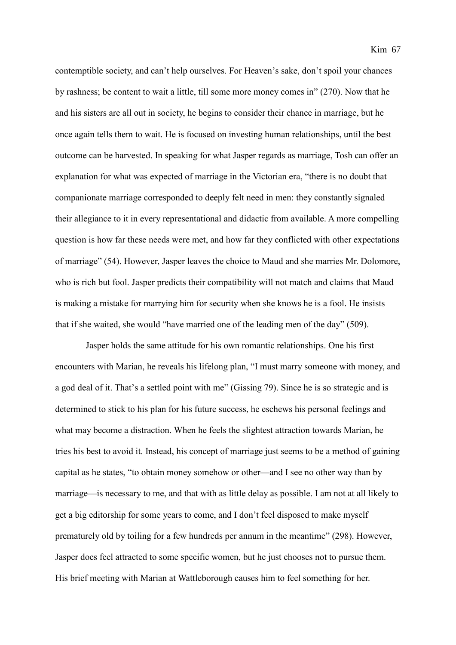contemptible society, and can't help ourselves. For Heaven's sake, don't spoil your chances by rashness; be content to wait a little, till some more money comes in" (270). Now that he and his sisters are all out in society, he begins to consider their chance in marriage, but he once again tells them to wait. He is focused on investing human relationships, until the best outcome can be harvested. In speaking for what Jasper regards as marriage, Tosh can offer an explanation for what was expected of marriage in the Victorian era, "there is no doubt that companionate marriage corresponded to deeply felt need in men: they constantly signaled their allegiance to it in every representational and didactic from available. A more compelling question is how far these needs were met, and how far they conflicted with other expectations of marriage" (54). However, Jasper leaves the choice to Maud and she marries Mr. Dolomore, who is rich but fool. Jasper predicts their compatibility will not match and claims that Maud is making a mistake for marrying him for security when she knows he is a fool. He insists that if she waited, she would "have married one of the leading men of the day" (509).

Jasper holds the same attitude for his own romantic relationships. One his first encounters with Marian, he reveals his lifelong plan, "I must marry someone with money, and a god deal of it. That's a settled point with me" (Gissing 79). Since he is so strategic and is determined to stick to his plan for his future success, he eschews his personal feelings and what may become a distraction. When he feels the slightest attraction towards Marian, he tries his best to avoid it. Instead, his concept of marriage just seems to be a method of gaining capital as he states, "to obtain money somehow or other—and I see no other way than by marriage—is necessary to me, and that with as little delay as possible. I am not at all likely to get a big editorship for some years to come, and I don't feel disposed to make myself prematurely old by toiling for a few hundreds per annum in the meantime" (298). However, Jasper does feel attracted to some specific women, but he just chooses not to pursue them. His brief meeting with Marian at Wattleborough causes him to feel something for her.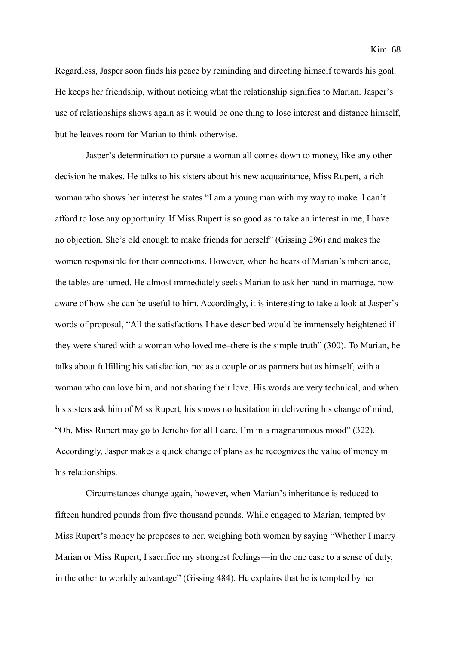Regardless, Jasper soon finds his peace by reminding and directing himself towards his goal. He keeps her friendship, without noticing what the relationship signifies to Marian. Jasper's use of relationships shows again as it would be one thing to lose interest and distance himself, but he leaves room for Marian to think otherwise.

Jasper's determination to pursue a woman all comes down to money, like any other decision he makes. He talks to his sisters about his new acquaintance, Miss Rupert, a rich woman who shows her interest he states "I am a young man with my way to make. I can't afford to lose any opportunity. If Miss Rupert is so good as to take an interest in me, I have no objection. She's old enough to make friends for herself" (Gissing 296) and makes the women responsible for their connections. However, when he hears of Marian's inheritance, the tables are turned. He almost immediately seeks Marian to ask her hand in marriage, now aware of how she can be useful to him. Accordingly, it is interesting to take a look at Jasper's words of proposal, "All the satisfactions I have described would be immensely heightened if they were shared with a woman who loved me–there is the simple truth" (300). To Marian, he talks about fulfilling his satisfaction, not as a couple or as partners but as himself, with a woman who can love him, and not sharing their love. His words are very technical, and when his sisters ask him of Miss Rupert, his shows no hesitation in delivering his change of mind, "Oh, Miss Rupert may go to Jericho for all I care. I'm in a magnanimous mood" (322). Accordingly, Jasper makes a quick change of plans as he recognizes the value of money in his relationships.

Circumstances change again, however, when Marian's inheritance is reduced to fifteen hundred pounds from five thousand pounds. While engaged to Marian, tempted by Miss Rupert's money he proposes to her, weighing both women by saying "Whether I marry Marian or Miss Rupert, I sacrifice my strongest feelings—in the one case to a sense of duty, in the other to worldly advantage" (Gissing 484). He explains that he is tempted by her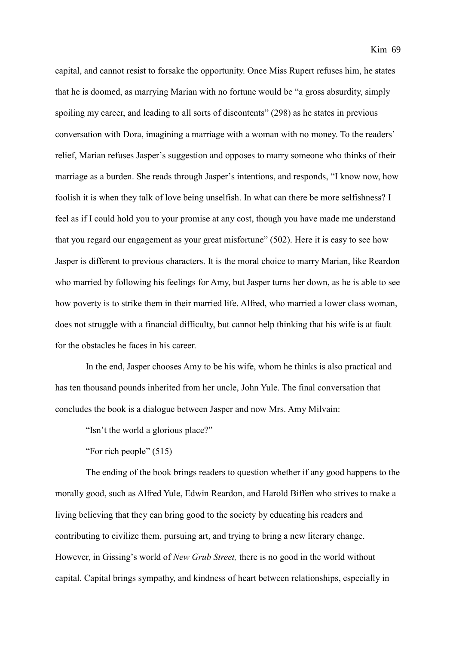capital, and cannot resist to forsake the opportunity. Once Miss Rupert refuses him, he states that he is doomed, as marrying Marian with no fortune would be "a gross absurdity, simply spoiling my career, and leading to all sorts of discontents" (298) as he states in previous conversation with Dora, imagining a marriage with a woman with no money. To the readers' relief, Marian refuses Jasper's suggestion and opposes to marry someone who thinks of their marriage as a burden. She reads through Jasper's intentions, and responds, "I know now, how foolish it is when they talk of love being unselfish. In what can there be more selfishness? I feel as if I could hold you to your promise at any cost, though you have made me understand that you regard our engagement as your great misfortune" (502). Here it is easy to see how Jasper is different to previous characters. It is the moral choice to marry Marian, like Reardon who married by following his feelings for Amy, but Jasper turns her down, as he is able to see how poverty is to strike them in their married life. Alfred, who married a lower class woman, does not struggle with a financial difficulty, but cannot help thinking that his wife is at fault for the obstacles he faces in his career.

In the end, Jasper chooses Amy to be his wife, whom he thinks is also practical and has ten thousand pounds inherited from her uncle, John Yule. The final conversation that concludes the book is a dialogue between Jasper and now Mrs. Amy Milvain:

"Isn't the world a glorious place?"

"For rich people" (515)

The ending of the book brings readers to question whether if any good happens to the morally good, such as Alfred Yule, Edwin Reardon, and Harold Biffen who strives to make a living believing that they can bring good to the society by educating his readers and contributing to civilize them, pursuing art, and trying to bring a new literary change. However, in Gissing's world of *New Grub Street,* there is no good in the world without capital. Capital brings sympathy, and kindness of heart between relationships, especially in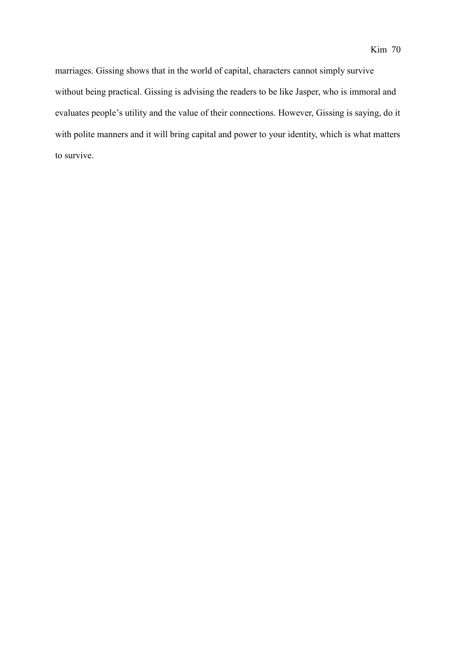marriages. Gissing shows that in the world of capital, characters cannot simply survive without being practical. Gissing is advising the readers to be like Jasper, who is immoral and evaluates people's utility and the value of their connections. However, Gissing is saying, do it with polite manners and it will bring capital and power to your identity, which is what matters to survive.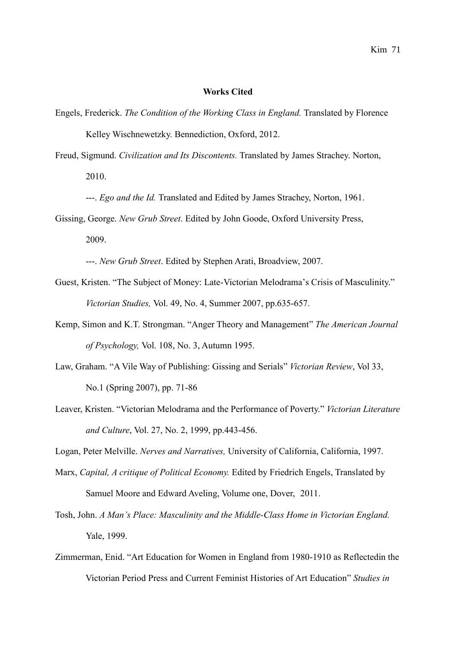## **Works Cited**

- Engels, Frederick. *The Condition of the Working Class in England.* Translated by Florence Kelley Wischnewetzky. Bennediction, Oxford, 2012.
- Freud, Sigmund. *Civilization and Its Discontents.* Translated by James Strachey. Norton, 2010.

---. *Ego and the Id.* Translated and Edited by James Strachey, Norton, 1961.

Gissing, George. *New Grub Street*. Edited by John Goode, Oxford University Press, 2009.

---. *New Grub Street*. Edited by Stephen Arati, Broadview, 2007.

- Guest, Kristen. "The Subject of Money: Late-Victorian Melodrama's Crisis of Masculinity." *Victorian Studies,* Vol. 49, No. 4, Summer 2007, pp.635-657.
- Kemp, Simon and K.T. Strongman. "Anger Theory and Management" *The American Journal of Psychology,* Vol. 108, No. 3, Autumn 1995.
- Law, Graham. "A Vile Way of Publishing: Gissing and Serials" *Victorian Review*, Vol 33, No.1 (Spring 2007), pp. 71-86
- Leaver, Kristen. "Victorian Melodrama and the Performance of Poverty." *Victorian Literature and Culture*, Vol. 27, No. 2, 1999, pp.443-456.

Logan, Peter Melville. *Nerves and Narratives,* University of California, California, 1997.

- Marx, *Capital, A critique of Political Economy.* Edited by Friedrich Engels, Translated by Samuel Moore and Edward Aveling, Volume one, Dover, 2011.
- Tosh, John. *A Man's Place: Masculinity and the Middle-Class Home in Victorian England.*  Yale, 1999.
- Zimmerman, Enid. "Art Education for Women in England from 1980-1910 as Reflectedin the Victorian Period Press and Current Feminist Histories of Art Education" *Studies in*